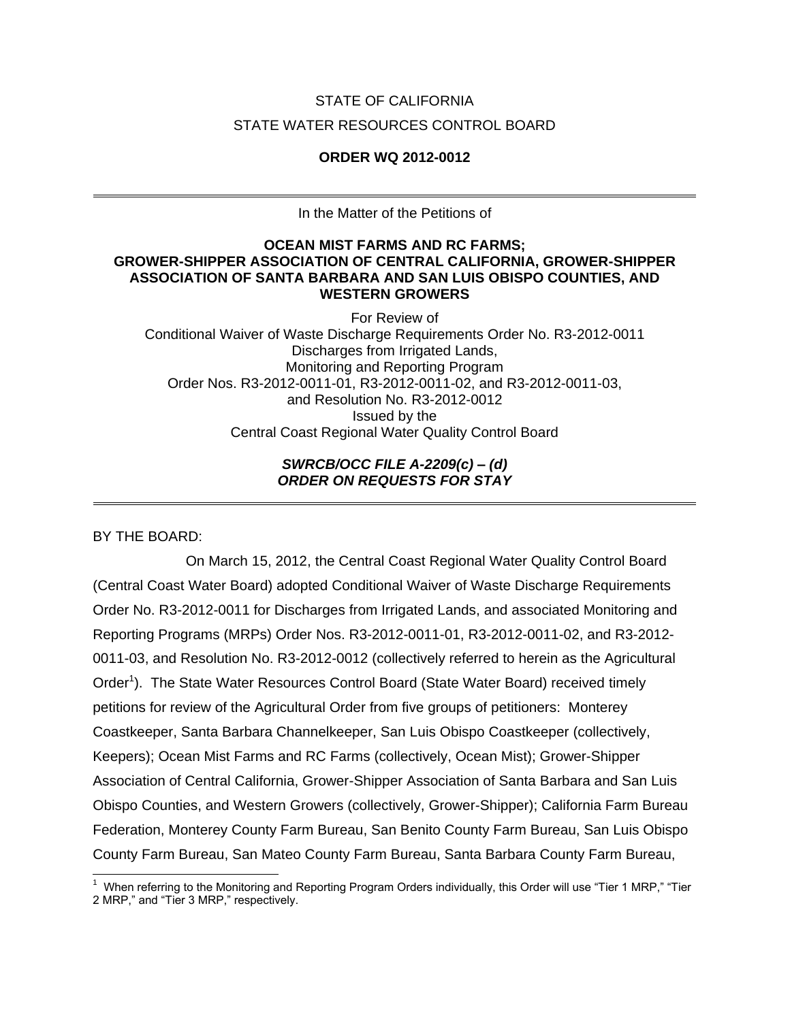# STATE OF CALIFORNIA STATE WATER RESOURCES CONTROL BOARD

## **ORDER WQ 2012-0012**

In the Matter of the Petitions of

### **OCEAN MIST FARMS AND RC FARMS; GROWER-SHIPPER ASSOCIATION OF CENTRAL CALIFORNIA, GROWER-SHIPPER ASSOCIATION OF SANTA BARBARA AND SAN LUIS OBISPO COUNTIES, AND WESTERN GROWERS**

For Review of Conditional Waiver of Waste Discharge Requirements Order No. R3-2012-0011 Discharges from Irrigated Lands, Monitoring and Reporting Program Order Nos. R3-2012-0011-01, R3-2012-0011-02, and R3-2012-0011-03, and Resolution No. R3-2012-0012 Issued by the Central Coast Regional Water Quality Control Board

## *SWRCB/OCC FILE A-2209(c) – (d) ORDER ON REQUESTS FOR STAY*

BY THE BOARD:

On March 15, 2012, the Central Coast Regional Water Quality Control Board (Central Coast Water Board) adopted Conditional Waiver of Waste Discharge Requirements Order No. R3-2012-0011 for Discharges from Irrigated Lands, and associated Monitoring and Reporting Programs (MRPs) Order Nos. R3-2012-0011-01, R3-2012-0011-02, and R3-2012- 0011-03, and Resolution No. R3-2012-0012 (collectively referred to herein as the Agricultural Order<sup>1</sup>). The State Water Resources Control Board (State Water Board) received timely petitions for review of the Agricultural Order from five groups of petitioners: Monterey Coastkeeper, Santa Barbara Channelkeeper, San Luis Obispo Coastkeeper (collectively, Keepers); Ocean Mist Farms and RC Farms (collectively, Ocean Mist); Grower-Shipper Association of Central California, Grower-Shipper Association of Santa Barbara and San Luis Obispo Counties, and Western Growers (collectively, Grower-Shipper); California Farm Bureau Federation, Monterey County Farm Bureau, San Benito County Farm Bureau, San Luis Obispo County Farm Bureau, San Mateo County Farm Bureau, Santa Barbara County Farm Bureau,

 <sup>1</sup> When referring to the Monitoring and Reporting Program Orders individually, this Order will use "Tier 1 MRP," "Tier 2 MRP," and "Tier 3 MRP," respectively.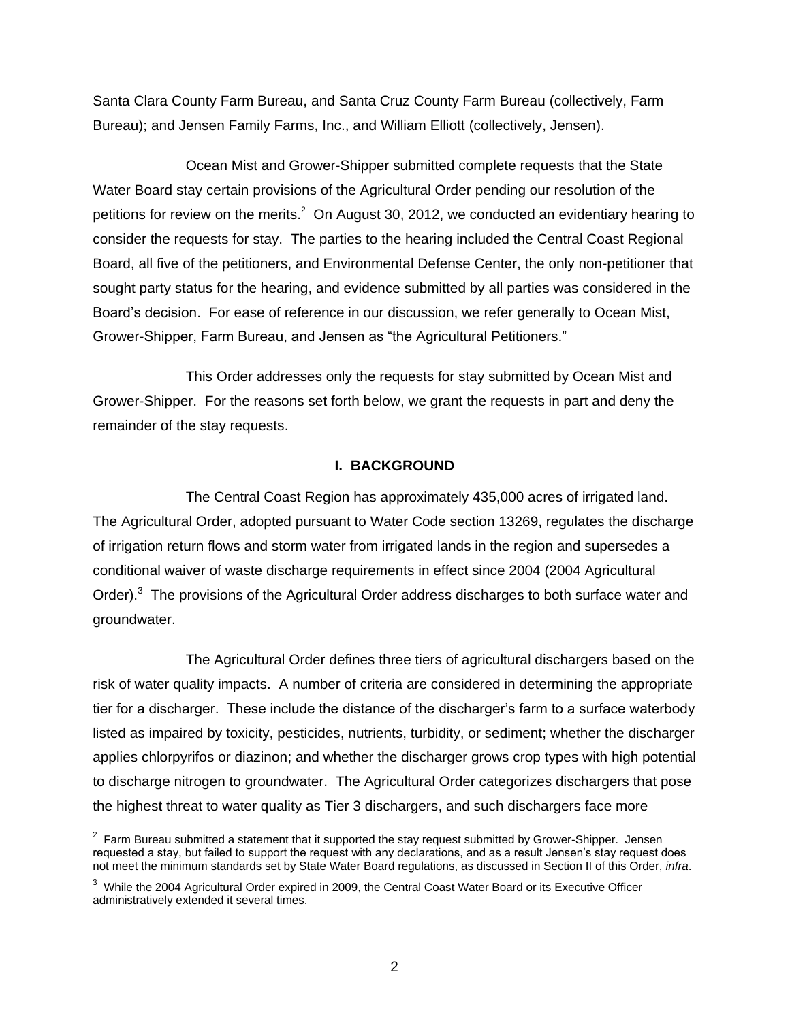Santa Clara County Farm Bureau, and Santa Cruz County Farm Bureau (collectively, Farm Bureau); and Jensen Family Farms, Inc., and William Elliott (collectively, Jensen).

Ocean Mist and Grower-Shipper submitted complete requests that the State Water Board stay certain provisions of the Agricultural Order pending our resolution of the petitions for review on the merits.<sup>2</sup> On August 30, 2012, we conducted an evidentiary hearing to consider the requests for stay. The parties to the hearing included the Central Coast Regional Board, all five of the petitioners, and Environmental Defense Center, the only non-petitioner that sought party status for the hearing, and evidence submitted by all parties was considered in the Board's decision. For ease of reference in our discussion, we refer generally to Ocean Mist, Grower-Shipper, Farm Bureau, and Jensen as "the Agricultural Petitioners."

This Order addresses only the requests for stay submitted by Ocean Mist and Grower-Shipper. For the reasons set forth below, we grant the requests in part and deny the remainder of the stay requests.

#### **I. BACKGROUND**

The Central Coast Region has approximately 435,000 acres of irrigated land. The Agricultural Order, adopted pursuant to Water Code section 13269, regulates the discharge of irrigation return flows and storm water from irrigated lands in the region and supersedes a conditional waiver of waste discharge requirements in effect since 2004 (2004 Agricultural Order). $3$  The provisions of the Agricultural Order address discharges to both surface water and groundwater.

The Agricultural Order defines three tiers of agricultural dischargers based on the risk of water quality impacts. A number of criteria are considered in determining the appropriate tier for a discharger. These include the distance of the discharger's farm to a surface waterbody listed as impaired by toxicity, pesticides, nutrients, turbidity, or sediment; whether the discharger applies chlorpyrifos or diazinon; and whether the discharger grows crop types with high potential to discharge nitrogen to groundwater. The Agricultural Order categorizes dischargers that pose the highest threat to water quality as Tier 3 dischargers, and such dischargers face more

 2 Farm Bureau submitted a statement that it supported the stay request submitted by Grower-Shipper. Jensen requested a stay, but failed to support the request with any declarations, and as a result Jensen's stay request does not meet the minimum standards set by State Water Board regulations, as discussed in Section II of this Order, *infra*.

 $3$  While the 2004 Agricultural Order expired in 2009, the Central Coast Water Board or its Executive Officer administratively extended it several times.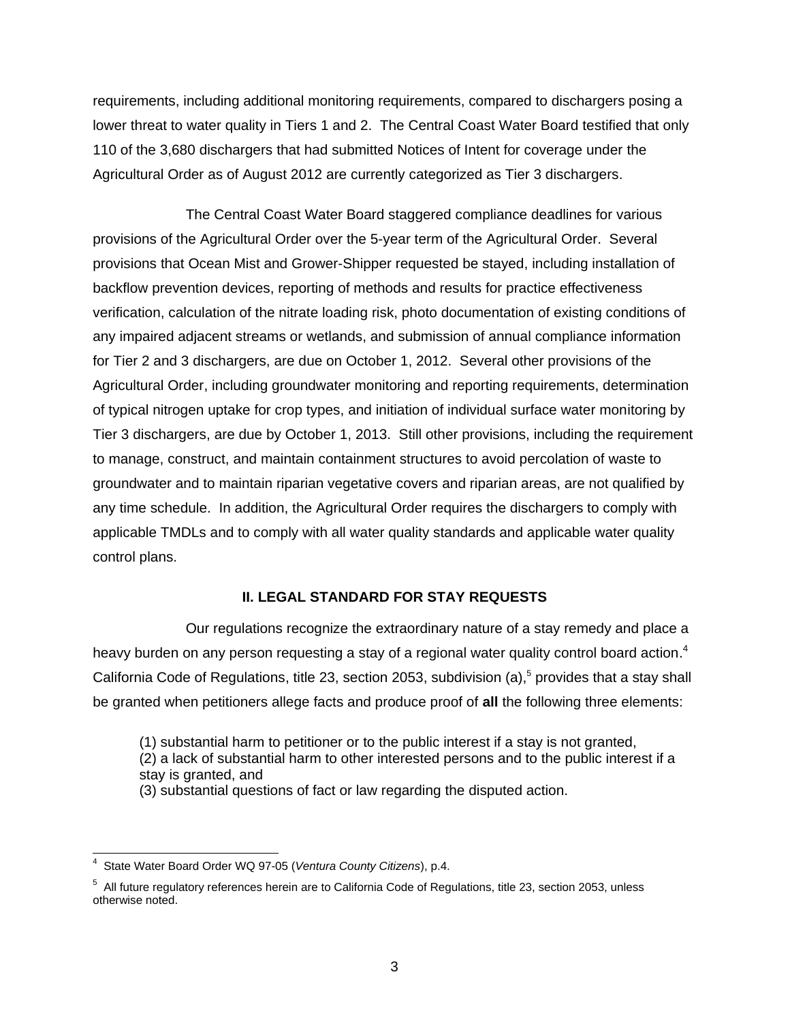requirements, including additional monitoring requirements, compared to dischargers posing a lower threat to water quality in Tiers 1 and 2. The Central Coast Water Board testified that only 110 of the 3,680 dischargers that had submitted Notices of Intent for coverage under the Agricultural Order as of August 2012 are currently categorized as Tier 3 dischargers.

The Central Coast Water Board staggered compliance deadlines for various provisions of the Agricultural Order over the 5-year term of the Agricultural Order. Several provisions that Ocean Mist and Grower-Shipper requested be stayed, including installation of backflow prevention devices, reporting of methods and results for practice effectiveness verification, calculation of the nitrate loading risk, photo documentation of existing conditions of any impaired adjacent streams or wetlands, and submission of annual compliance information for Tier 2 and 3 dischargers, are due on October 1, 2012. Several other provisions of the Agricultural Order, including groundwater monitoring and reporting requirements, determination of typical nitrogen uptake for crop types, and initiation of individual surface water monitoring by Tier 3 dischargers, are due by October 1, 2013. Still other provisions, including the requirement to manage, construct, and maintain containment structures to avoid percolation of waste to groundwater and to maintain riparian vegetative covers and riparian areas, are not qualified by any time schedule. In addition, the Agricultural Order requires the dischargers to comply with applicable TMDLs and to comply with all water quality standards and applicable water quality control plans.

#### **II. LEGAL STANDARD FOR STAY REQUESTS**

Our regulations recognize the extraordinary nature of a stay remedy and place a heavy burden on any person requesting a stay of a regional water quality control board action.<sup>4</sup> California Code of Regulations, title 23, section 2053, subdivision (a),<sup>5</sup> provides that a stay shall be granted when petitioners allege facts and produce proof of **all** the following three elements:

(1) substantial harm to petitioner or to the public interest if a stay is not granted,

(2) a lack of substantial harm to other interested persons and to the public interest if a stay is granted, and

(3) substantial questions of fact or law regarding the disputed action.

 4 State Water Board Order WQ 97-05 (*Ventura County Citizens*), p.4.

 $5$  All future regulatory references herein are to California Code of Regulations, title 23, section 2053, unless otherwise noted.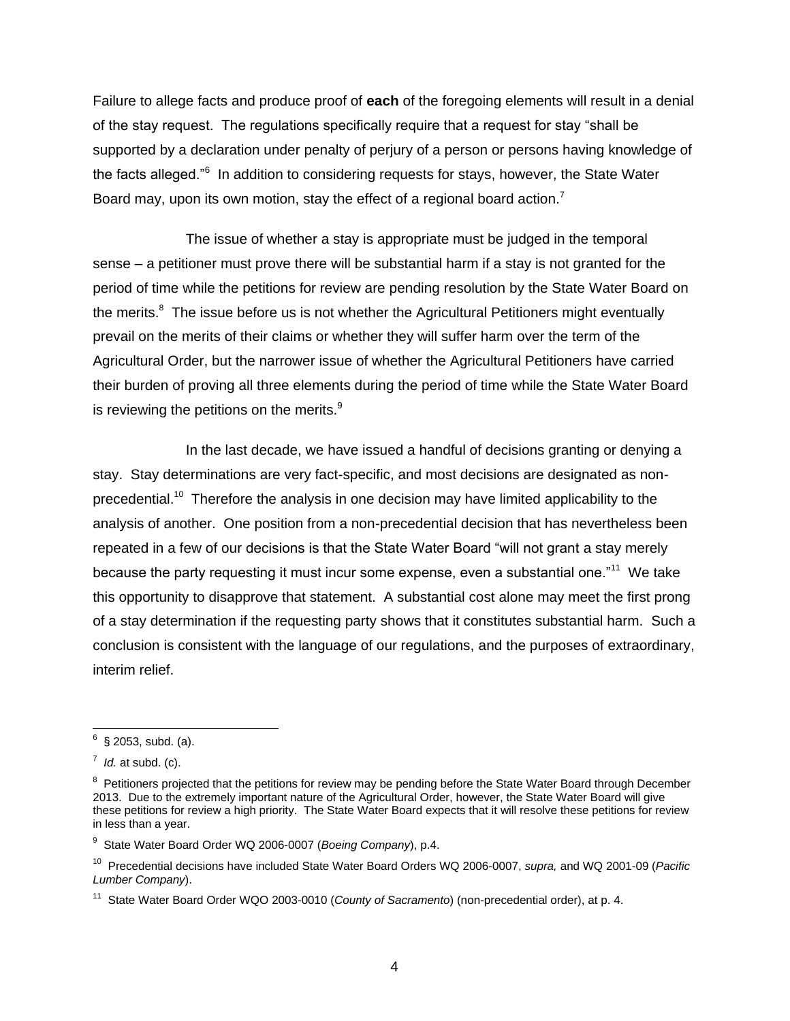Failure to allege facts and produce proof of **each** of the foregoing elements will result in a denial of the stay request. The regulations specifically require that a request for stay "shall be supported by a declaration under penalty of perjury of a person or persons having knowledge of the facts alleged."<sup>6</sup> In addition to considering requests for stays, however, the State Water Board may, upon its own motion, stay the effect of a regional board action.<sup>7</sup>

The issue of whether a stay is appropriate must be judged in the temporal sense – a petitioner must prove there will be substantial harm if a stay is not granted for the period of time while the petitions for review are pending resolution by the State Water Board on the merits.<sup>8</sup> The issue before us is not whether the Agricultural Petitioners might eventually prevail on the merits of their claims or whether they will suffer harm over the term of the Agricultural Order, but the narrower issue of whether the Agricultural Petitioners have carried their burden of proving all three elements during the period of time while the State Water Board is reviewing the petitions on the merits. $^9$ 

In the last decade, we have issued a handful of decisions granting or denying a stay. Stay determinations are very fact-specific, and most decisions are designated as nonprecedential.<sup>10</sup> Therefore the analysis in one decision may have limited applicability to the analysis of another. One position from a non-precedential decision that has nevertheless been repeated in a few of our decisions is that the State Water Board "will not grant a stay merely because the party requesting it must incur some expense, even a substantial one."<sup>11</sup> We take this opportunity to disapprove that statement. A substantial cost alone may meet the first prong of a stay determination if the requesting party shows that it constitutes substantial harm. Such a conclusion is consistent with the language of our regulations, and the purposes of extraordinary, interim relief.

<sup>&</sup>lt;u>.</u><br><sup>6</sup> § 2053, subd. (a).

 $^7$  *Id.* at subd. (c).

<sup>&</sup>lt;sup>8</sup> Petitioners projected that the petitions for review may be pending before the State Water Board through December 2013. Due to the extremely important nature of the Agricultural Order, however, the State Water Board will give these petitions for review a high priority. The State Water Board expects that it will resolve these petitions for review in less than a year.

<sup>9</sup> State Water Board Order WQ 2006-0007 (*Boeing Company*), p.4.

<sup>10</sup> Precedential decisions have included State Water Board Orders WQ 2006-0007, *supra,* and WQ 2001-09 (*Pacific Lumber Company*).

<sup>&</sup>lt;sup>11</sup> State Water Board Order WQO 2003-0010 (*County of Sacramento*) (non-precedential order), at p. 4.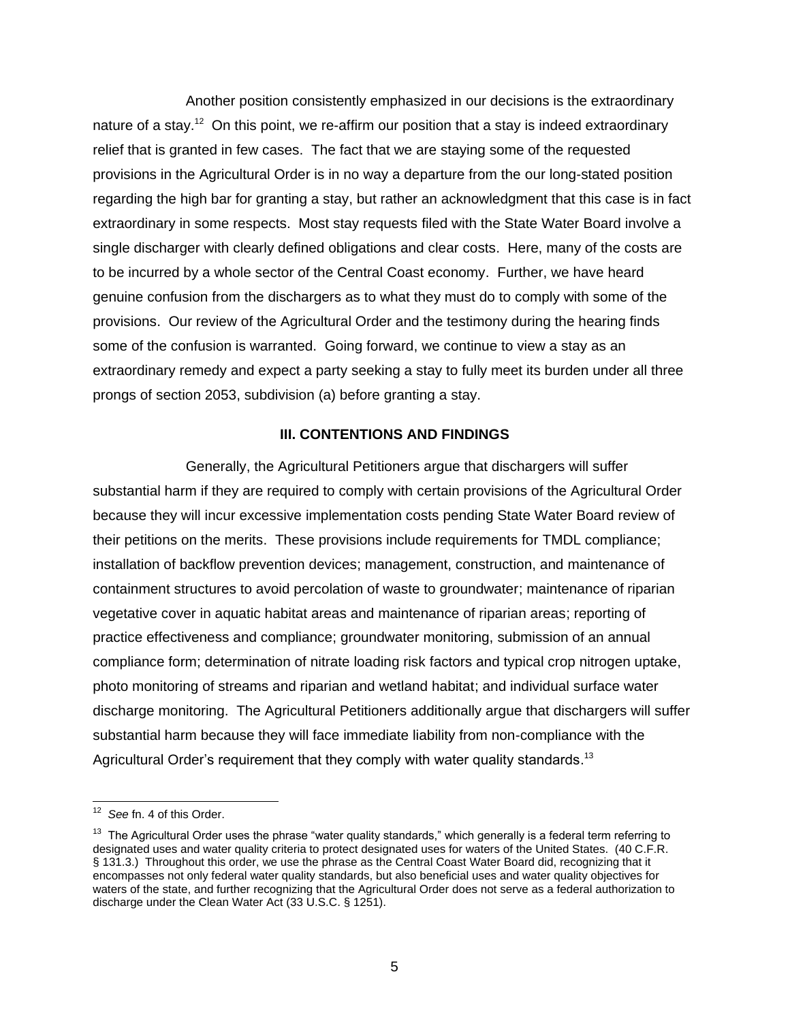Another position consistently emphasized in our decisions is the extraordinary nature of a stay.<sup>12</sup> On this point, we re-affirm our position that a stay is indeed extraordinary relief that is granted in few cases. The fact that we are staying some of the requested provisions in the Agricultural Order is in no way a departure from the our long-stated position regarding the high bar for granting a stay, but rather an acknowledgment that this case is in fact extraordinary in some respects. Most stay requests filed with the State Water Board involve a single discharger with clearly defined obligations and clear costs. Here, many of the costs are to be incurred by a whole sector of the Central Coast economy. Further, we have heard genuine confusion from the dischargers as to what they must do to comply with some of the provisions. Our review of the Agricultural Order and the testimony during the hearing finds some of the confusion is warranted. Going forward, we continue to view a stay as an extraordinary remedy and expect a party seeking a stay to fully meet its burden under all three prongs of section 2053, subdivision (a) before granting a stay.

#### **III. CONTENTIONS AND FINDINGS**

Generally, the Agricultural Petitioners argue that dischargers will suffer substantial harm if they are required to comply with certain provisions of the Agricultural Order because they will incur excessive implementation costs pending State Water Board review of their petitions on the merits. These provisions include requirements for TMDL compliance; installation of backflow prevention devices; management, construction, and maintenance of containment structures to avoid percolation of waste to groundwater; maintenance of riparian vegetative cover in aquatic habitat areas and maintenance of riparian areas; reporting of practice effectiveness and compliance; groundwater monitoring, submission of an annual compliance form; determination of nitrate loading risk factors and typical crop nitrogen uptake, photo monitoring of streams and riparian and wetland habitat; and individual surface water discharge monitoring. The Agricultural Petitioners additionally argue that dischargers will suffer substantial harm because they will face immediate liability from non-compliance with the Agricultural Order's requirement that they comply with water quality standards.<sup>13</sup>

<sup>&</sup>lt;sup>12</sup> See fn. 4 of this Order.

<sup>&</sup>lt;sup>13</sup> The Agricultural Order uses the phrase "water quality standards," which generally is a federal term referring to designated uses and water quality criteria to protect designated uses for waters of the United States. (40 C.F.R. § 131.3.) Throughout this order, we use the phrase as the Central Coast Water Board did, recognizing that it encompasses not only federal water quality standards, but also beneficial uses and water quality objectives for waters of the state, and further recognizing that the Agricultural Order does not serve as a federal authorization to discharge under the Clean Water Act (33 U.S.C. § 1251).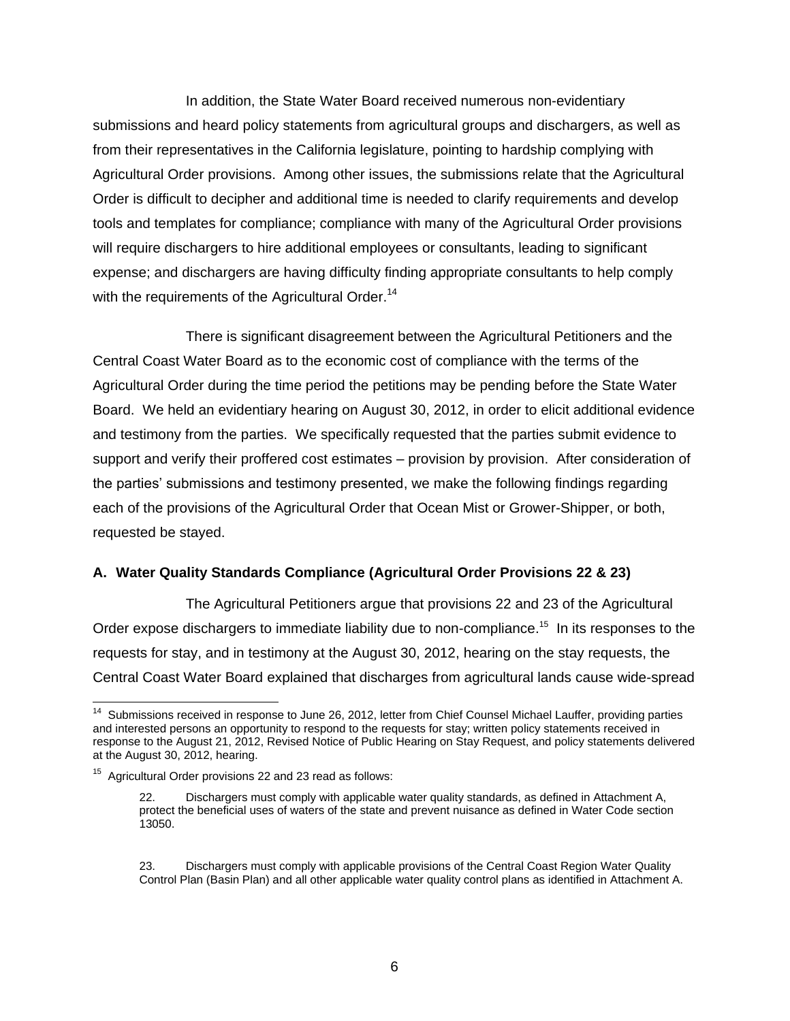In addition, the State Water Board received numerous non-evidentiary submissions and heard policy statements from agricultural groups and dischargers, as well as from their representatives in the California legislature, pointing to hardship complying with Agricultural Order provisions. Among other issues, the submissions relate that the Agricultural Order is difficult to decipher and additional time is needed to clarify requirements and develop tools and templates for compliance; compliance with many of the Agricultural Order provisions will require dischargers to hire additional employees or consultants, leading to significant expense; and dischargers are having difficulty finding appropriate consultants to help comply with the requirements of the Agricultural Order.<sup>14</sup>

There is significant disagreement between the Agricultural Petitioners and the Central Coast Water Board as to the economic cost of compliance with the terms of the Agricultural Order during the time period the petitions may be pending before the State Water Board. We held an evidentiary hearing on August 30, 2012, in order to elicit additional evidence and testimony from the parties. We specifically requested that the parties submit evidence to support and verify their proffered cost estimates – provision by provision. After consideration of the parties' submissions and testimony presented, we make the following findings regarding each of the provisions of the Agricultural Order that Ocean Mist or Grower-Shipper, or both, requested be stayed.

#### **A. Water Quality Standards Compliance (Agricultural Order Provisions 22 & 23)**

The Agricultural Petitioners argue that provisions 22 and 23 of the Agricultural Order expose dischargers to immediate liability due to non-compliance.<sup>15</sup> In its responses to the requests for stay, and in testimony at the August 30, 2012, hearing on the stay requests, the Central Coast Water Board explained that discharges from agricultural lands cause wide-spread

 14 Submissions received in response to June 26, 2012, letter from Chief Counsel Michael Lauffer, providing parties and interested persons an opportunity to respond to the requests for stay; written policy statements received in response to the August 21, 2012, Revised Notice of Public Hearing on Stay Request, and policy statements delivered at the August 30, 2012, hearing.

<sup>&</sup>lt;sup>15</sup> Agricultural Order provisions 22 and 23 read as follows:

<sup>22.</sup> Dischargers must comply with applicable water quality standards, as defined in Attachment A, protect the beneficial uses of waters of the state and prevent nuisance as defined in Water Code section 13050.

<sup>23.</sup> Dischargers must comply with applicable provisions of the Central Coast Region Water Quality Control Plan (Basin Plan) and all other applicable water quality control plans as identified in Attachment A.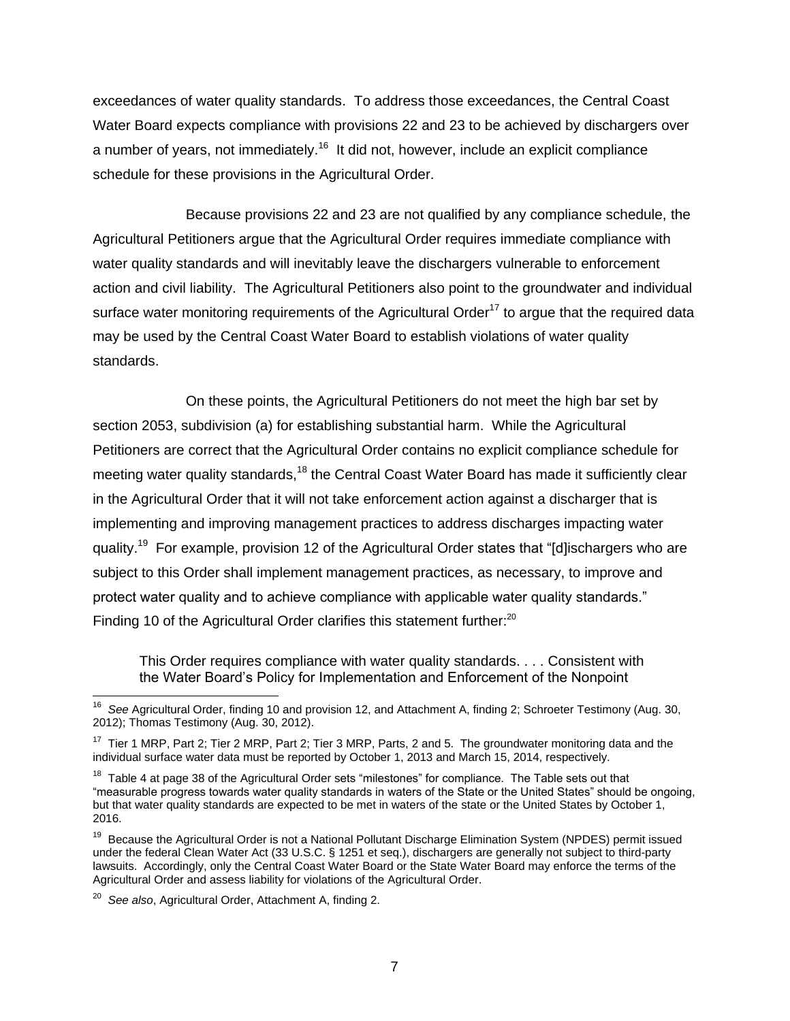exceedances of water quality standards. To address those exceedances, the Central Coast Water Board expects compliance with provisions 22 and 23 to be achieved by dischargers over a number of years, not immediately.<sup>16</sup> It did not, however, include an explicit compliance schedule for these provisions in the Agricultural Order.

Because provisions 22 and 23 are not qualified by any compliance schedule, the Agricultural Petitioners argue that the Agricultural Order requires immediate compliance with water quality standards and will inevitably leave the dischargers vulnerable to enforcement action and civil liability. The Agricultural Petitioners also point to the groundwater and individual surface water monitoring requirements of the Agricultural Order<sup>17</sup> to argue that the required data may be used by the Central Coast Water Board to establish violations of water quality standards.

On these points, the Agricultural Petitioners do not meet the high bar set by section 2053, subdivision (a) for establishing substantial harm. While the Agricultural Petitioners are correct that the Agricultural Order contains no explicit compliance schedule for meeting water quality standards,<sup>18</sup> the Central Coast Water Board has made it sufficiently clear in the Agricultural Order that it will not take enforcement action against a discharger that is implementing and improving management practices to address discharges impacting water quality.<sup>19</sup> For example, provision 12 of the Agricultural Order states that "[d]ischargers who are subject to this Order shall implement management practices, as necessary, to improve and protect water quality and to achieve compliance with applicable water quality standards." Finding 10 of the Agricultural Order clarifies this statement further:<sup>20</sup>

This Order requires compliance with water quality standards. . . . Consistent with the Water Board's Policy for Implementation and Enforcement of the Nonpoint

 16 *See* Agricultural Order, finding 10 and provision 12, and Attachment A, finding 2; Schroeter Testimony (Aug. 30, 2012); Thomas Testimony (Aug. 30, 2012).

 $17$  Tier 1 MRP, Part 2; Tier 2 MRP, Part 2; Tier 3 MRP, Parts, 2 and 5. The groundwater monitoring data and the individual surface water data must be reported by October 1, 2013 and March 15, 2014, respectively.

<sup>&</sup>lt;sup>18</sup> Table 4 at page 38 of the Agricultural Order sets "milestones" for compliance. The Table sets out that "measurable progress towards water quality standards in waters of the State or the United States" should be ongoing, but that water quality standards are expected to be met in waters of the state or the United States by October 1, 2016.

<sup>&</sup>lt;sup>19</sup> Because the Agricultural Order is not a National Pollutant Discharge Elimination System (NPDES) permit issued under the federal Clean Water Act (33 U.S.C. § 1251 et seq.), dischargers are generally not subject to third-party lawsuits. Accordingly, only the Central Coast Water Board or the State Water Board may enforce the terms of the Agricultural Order and assess liability for violations of the Agricultural Order.

<sup>20</sup> *See also*, Agricultural Order, Attachment A, finding 2.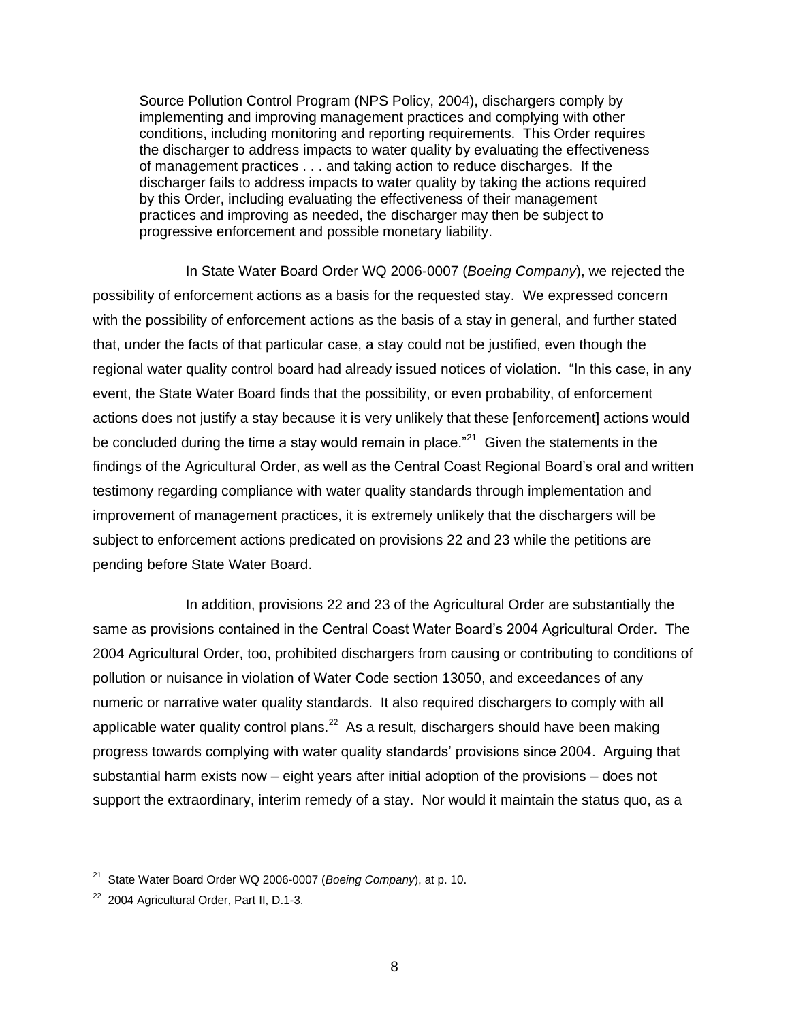Source Pollution Control Program (NPS Policy, 2004), dischargers comply by implementing and improving management practices and complying with other conditions, including monitoring and reporting requirements. This Order requires the discharger to address impacts to water quality by evaluating the effectiveness of management practices . . . and taking action to reduce discharges. If the discharger fails to address impacts to water quality by taking the actions required by this Order, including evaluating the effectiveness of their management practices and improving as needed, the discharger may then be subject to progressive enforcement and possible monetary liability.

In State Water Board Order WQ 2006-0007 (*Boeing Company*), we rejected the possibility of enforcement actions as a basis for the requested stay. We expressed concern with the possibility of enforcement actions as the basis of a stay in general, and further stated that, under the facts of that particular case, a stay could not be justified, even though the regional water quality control board had already issued notices of violation. "In this case, in any event, the State Water Board finds that the possibility, or even probability, of enforcement actions does not justify a stay because it is very unlikely that these [enforcement] actions would be concluded during the time a stay would remain in place."<sup>21</sup> Given the statements in the findings of the Agricultural Order, as well as the Central Coast Regional Board's oral and written testimony regarding compliance with water quality standards through implementation and improvement of management practices, it is extremely unlikely that the dischargers will be subject to enforcement actions predicated on provisions 22 and 23 while the petitions are pending before State Water Board.

In addition, provisions 22 and 23 of the Agricultural Order are substantially the same as provisions contained in the Central Coast Water Board's 2004 Agricultural Order. The 2004 Agricultural Order, too, prohibited dischargers from causing or contributing to conditions of pollution or nuisance in violation of Water Code section 13050, and exceedances of any numeric or narrative water quality standards. It also required dischargers to comply with all applicable water quality control plans.<sup>22</sup> As a result, dischargers should have been making progress towards complying with water quality standards' provisions since 2004. Arguing that substantial harm exists now – eight years after initial adoption of the provisions – does not support the extraordinary, interim remedy of a stay. Nor would it maintain the status quo, as a

 21 State Water Board Order WQ 2006-0007 (*Boeing Company*), at p. 10.

<sup>&</sup>lt;sup>22</sup> 2004 Agricultural Order, Part II, D.1-3.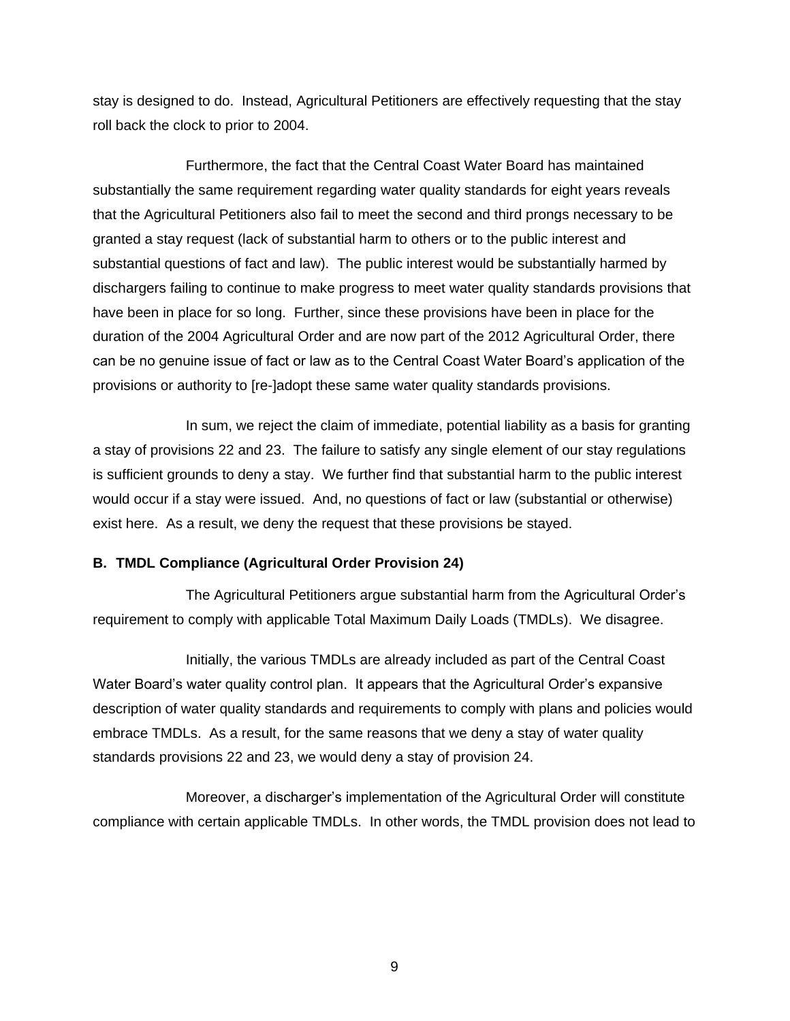stay is designed to do. Instead, Agricultural Petitioners are effectively requesting that the stay roll back the clock to prior to 2004.

Furthermore, the fact that the Central Coast Water Board has maintained substantially the same requirement regarding water quality standards for eight years reveals that the Agricultural Petitioners also fail to meet the second and third prongs necessary to be granted a stay request (lack of substantial harm to others or to the public interest and substantial questions of fact and law). The public interest would be substantially harmed by dischargers failing to continue to make progress to meet water quality standards provisions that have been in place for so long. Further, since these provisions have been in place for the duration of the 2004 Agricultural Order and are now part of the 2012 Agricultural Order, there can be no genuine issue of fact or law as to the Central Coast Water Board's application of the provisions or authority to [re-]adopt these same water quality standards provisions.

In sum, we reject the claim of immediate, potential liability as a basis for granting a stay of provisions 22 and 23. The failure to satisfy any single element of our stay regulations is sufficient grounds to deny a stay. We further find that substantial harm to the public interest would occur if a stay were issued. And, no questions of fact or law (substantial or otherwise) exist here. As a result, we deny the request that these provisions be stayed.

#### **B. TMDL Compliance (Agricultural Order Provision 24)**

The Agricultural Petitioners argue substantial harm from the Agricultural Order's requirement to comply with applicable Total Maximum Daily Loads (TMDLs). We disagree.

Initially, the various TMDLs are already included as part of the Central Coast Water Board's water quality control plan. It appears that the Agricultural Order's expansive description of water quality standards and requirements to comply with plans and policies would embrace TMDLs. As a result, for the same reasons that we deny a stay of water quality standards provisions 22 and 23, we would deny a stay of provision 24.

Moreover, a discharger's implementation of the Agricultural Order will constitute compliance with certain applicable TMDLs. In other words, the TMDL provision does not lead to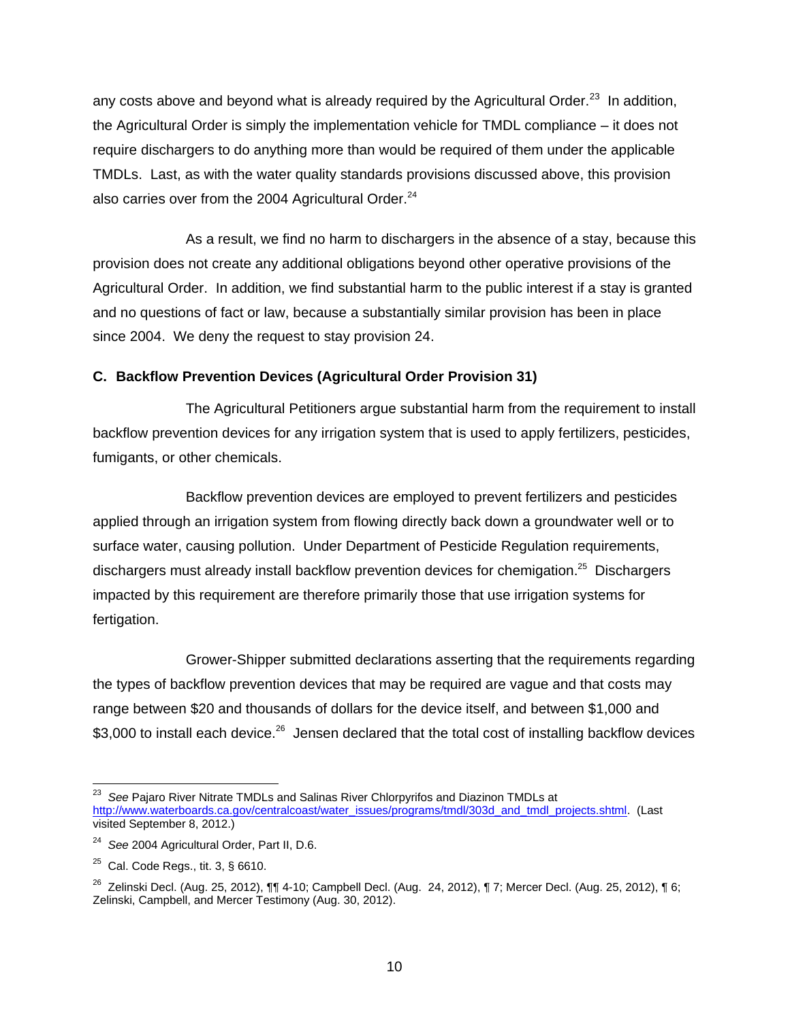any costs above and beyond what is already required by the Agricultural Order.<sup>23</sup> In addition, the Agricultural Order is simply the implementation vehicle for TMDL compliance – it does not require dischargers to do anything more than would be required of them under the applicable TMDLs. Last, as with the water quality standards provisions discussed above, this provision also carries over from the 2004 Agricultural Order.<sup>24</sup>

As a result, we find no harm to dischargers in the absence of a stay, because this provision does not create any additional obligations beyond other operative provisions of the Agricultural Order. In addition, we find substantial harm to the public interest if a stay is granted and no questions of fact or law, because a substantially similar provision has been in place since 2004. We deny the request to stay provision 24.

# **C. Backflow Prevention Devices (Agricultural Order Provision 31)**

The Agricultural Petitioners argue substantial harm from the requirement to install backflow prevention devices for any irrigation system that is used to apply fertilizers, pesticides, fumigants, or other chemicals.

Backflow prevention devices are employed to prevent fertilizers and pesticides applied through an irrigation system from flowing directly back down a groundwater well or to surface water, causing pollution. Under Department of Pesticide Regulation requirements, dischargers must already install backflow prevention devices for chemigation.<sup>25</sup> Dischargers impacted by this requirement are therefore primarily those that use irrigation systems for fertigation.

Grower-Shipper submitted declarations asserting that the requirements regarding the types of backflow prevention devices that may be required are vague and that costs may range between \$20 and thousands of dollars for the device itself, and between \$1,000 and \$3,000 to install each device.<sup>26</sup> Jensen declared that the total cost of installing backflow devices

 23 *See* Pajaro River Nitrate TMDLs and Salinas River Chlorpyrifos and Diazinon TMDLs at [http://www.waterboards.ca.gov/centralcoast/water\\_issues/programs/tmdl/303d\\_and\\_tmdl\\_projects.shtml.](http://www.waterboards.ca.gov/centralcoast/water_issues/programs/tmdl/303d_and_tmdl_projects.shtml) (Last visited September 8, 2012.)

<sup>24</sup> *See* 2004 Agricultural Order, Part II, D.6.

 $^{25}$  Cal. Code Regs., tit. 3, § 6610.

<sup>26</sup> Zelinski Decl. (Aug. 25, 2012), ¶¶ 4-10; Campbell Decl. (Aug. 24, 2012), ¶ 7; Mercer Decl. (Aug. 25, 2012), ¶ 6; Zelinski, Campbell, and Mercer Testimony (Aug. 30, 2012).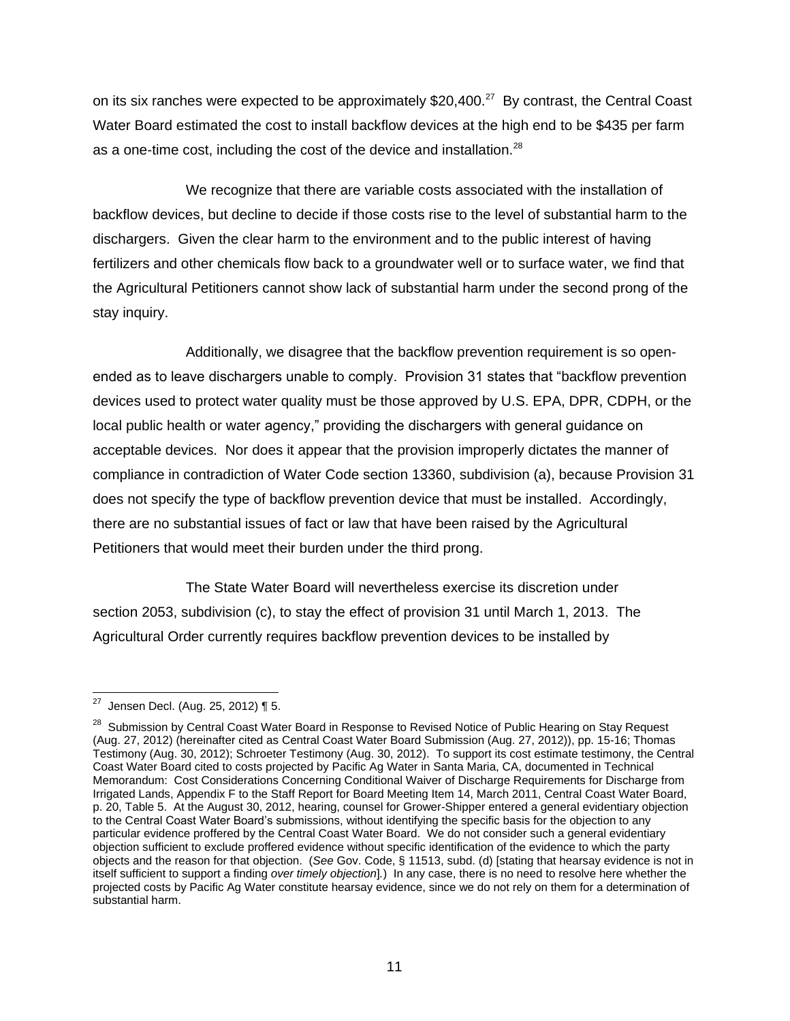on its six ranches were expected to be approximately \$20,400.<sup>27</sup> By contrast, the Central Coast Water Board estimated the cost to install backflow devices at the high end to be \$435 per farm as a one-time cost, including the cost of the device and installation.<sup>28</sup>

We recognize that there are variable costs associated with the installation of backflow devices, but decline to decide if those costs rise to the level of substantial harm to the dischargers. Given the clear harm to the environment and to the public interest of having fertilizers and other chemicals flow back to a groundwater well or to surface water, we find that the Agricultural Petitioners cannot show lack of substantial harm under the second prong of the stay inquiry.

Additionally, we disagree that the backflow prevention requirement is so openended as to leave dischargers unable to comply. Provision 31 states that "backflow prevention devices used to protect water quality must be those approved by U.S. EPA, DPR, CDPH, or the local public health or water agency," providing the dischargers with general guidance on acceptable devices. Nor does it appear that the provision improperly dictates the manner of compliance in contradiction of Water Code section 13360, subdivision (a), because Provision 31 does not specify the type of backflow prevention device that must be installed. Accordingly, there are no substantial issues of fact or law that have been raised by the Agricultural Petitioners that would meet their burden under the third prong.

The State Water Board will nevertheless exercise its discretion under section 2053, subdivision (c), to stay the effect of provision 31 until March 1, 2013. The Agricultural Order currently requires backflow prevention devices to be installed by

 27 Jensen Decl. (Aug. 25, 2012) ¶ 5.

<sup>&</sup>lt;sup>28</sup> Submission by Central Coast Water Board in Response to Revised Notice of Public Hearing on Stay Request (Aug. 27, 2012) (hereinafter cited as Central Coast Water Board Submission (Aug. 27, 2012)), pp. 15-16; Thomas Testimony (Aug. 30, 2012); Schroeter Testimony (Aug. 30, 2012). To support its cost estimate testimony, the Central Coast Water Board cited to costs projected by Pacific Ag Water in Santa Maria, CA, documented in Technical Memorandum: Cost Considerations Concerning Conditional Waiver of Discharge Requirements for Discharge from Irrigated Lands, Appendix F to the Staff Report for Board Meeting Item 14, March 2011, Central Coast Water Board, p. 20, Table 5. At the August 30, 2012, hearing, counsel for Grower-Shipper entered a general evidentiary objection to the Central Coast Water Board's submissions, without identifying the specific basis for the objection to any particular evidence proffered by the Central Coast Water Board. We do not consider such a general evidentiary objection sufficient to exclude proffered evidence without specific identification of the evidence to which the party objects and the reason for that objection. (*See* Gov. Code, § 11513, subd. (d) [stating that hearsay evidence is not in itself sufficient to support a finding *over timely objection*]*.*) In any case, there is no need to resolve here whether the projected costs by Pacific Ag Water constitute hearsay evidence, since we do not rely on them for a determination of substantial harm.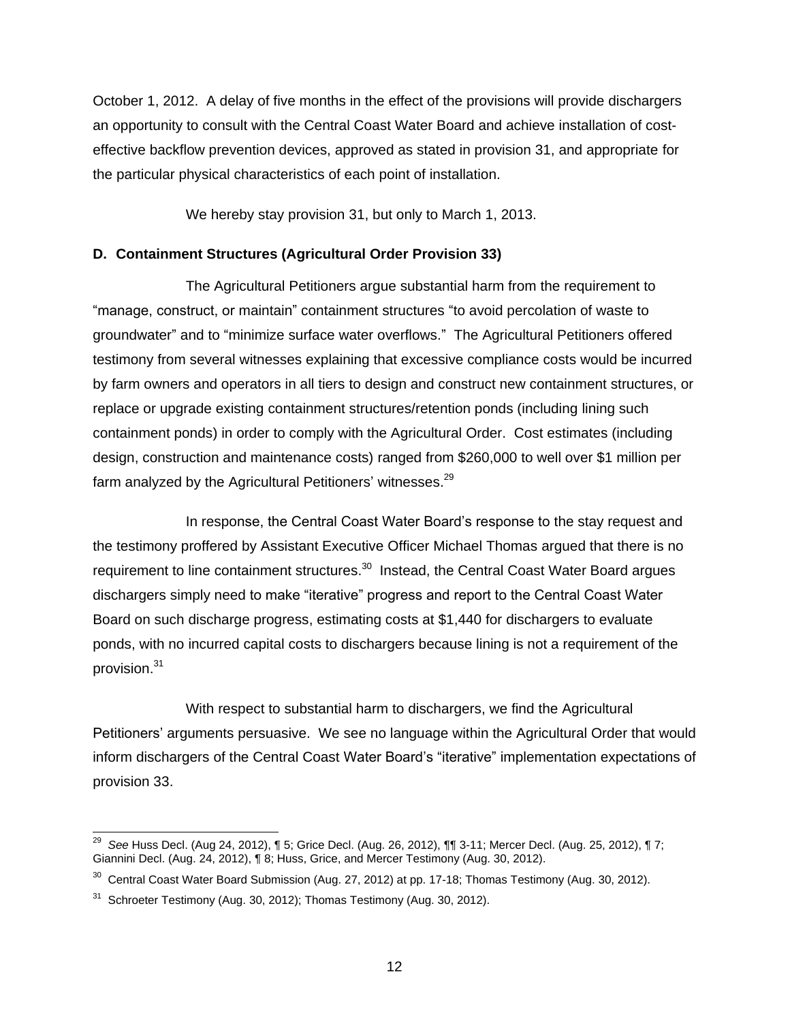October 1, 2012. A delay of five months in the effect of the provisions will provide dischargers an opportunity to consult with the Central Coast Water Board and achieve installation of costeffective backflow prevention devices, approved as stated in provision 31, and appropriate for the particular physical characteristics of each point of installation.

We hereby stay provision 31, but only to March 1, 2013.

## **D. Containment Structures (Agricultural Order Provision 33)**

The Agricultural Petitioners argue substantial harm from the requirement to "manage, construct, or maintain" containment structures "to avoid percolation of waste to groundwater" and to "minimize surface water overflows." The Agricultural Petitioners offered testimony from several witnesses explaining that excessive compliance costs would be incurred by farm owners and operators in all tiers to design and construct new containment structures, or replace or upgrade existing containment structures/retention ponds (including lining such containment ponds) in order to comply with the Agricultural Order. Cost estimates (including design, construction and maintenance costs) ranged from \$260,000 to well over \$1 million per farm analyzed by the Agricultural Petitioners' witnesses.<sup>29</sup>

In response, the Central Coast Water Board's response to the stay request and the testimony proffered by Assistant Executive Officer Michael Thomas argued that there is no requirement to line containment structures.<sup>30</sup> Instead, the Central Coast Water Board argues dischargers simply need to make "iterative" progress and report to the Central Coast Water Board on such discharge progress, estimating costs at \$1,440 for dischargers to evaluate ponds, with no incurred capital costs to dischargers because lining is not a requirement of the provision.<sup>31</sup>

With respect to substantial harm to dischargers, we find the Agricultural Petitioners' arguments persuasive. We see no language within the Agricultural Order that would inform dischargers of the Central Coast Water Board's "iterative" implementation expectations of provision 33.

 29 *See* Huss Decl. (Aug 24, 2012), ¶ 5; Grice Decl. (Aug. 26, 2012), ¶¶ 3-11; Mercer Decl. (Aug. 25, 2012), ¶ 7; Giannini Decl. (Aug. 24, 2012), ¶ 8; Huss, Grice, and Mercer Testimony (Aug. 30, 2012).

 $30$  Central Coast Water Board Submission (Aug. 27, 2012) at pp. 17-18; Thomas Testimony (Aug. 30, 2012).

 $31$  Schroeter Testimony (Aug. 30, 2012); Thomas Testimony (Aug. 30, 2012).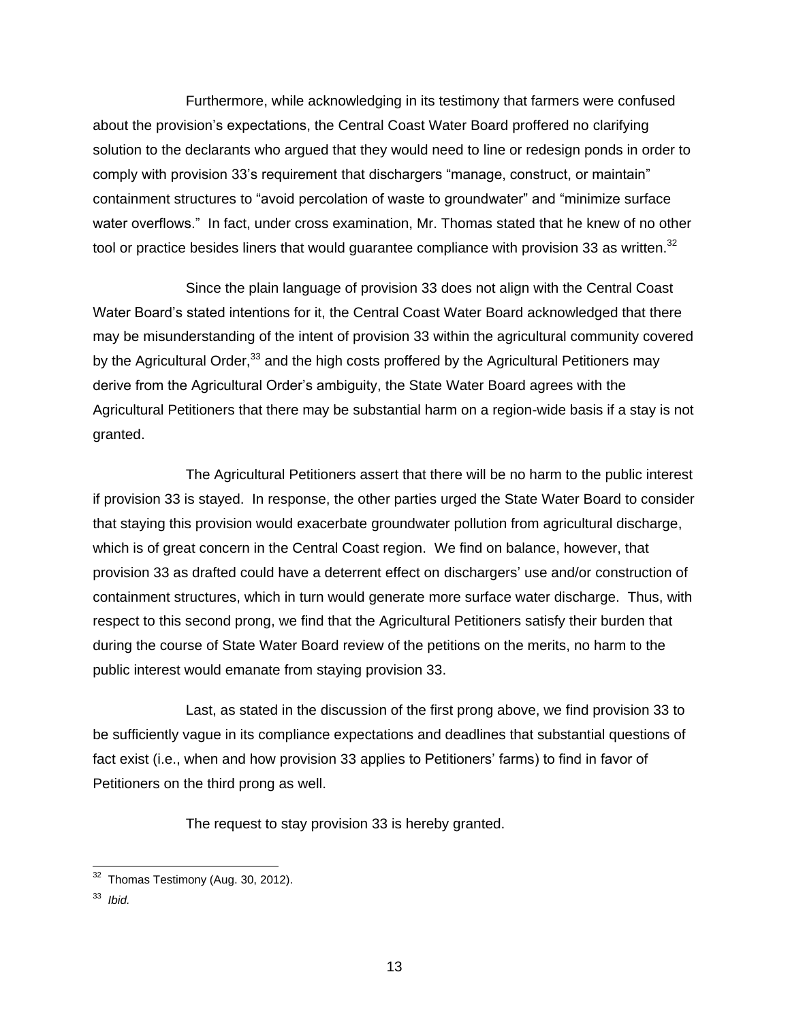Furthermore, while acknowledging in its testimony that farmers were confused about the provision's expectations, the Central Coast Water Board proffered no clarifying solution to the declarants who argued that they would need to line or redesign ponds in order to comply with provision 33's requirement that dischargers "manage, construct, or maintain" containment structures to "avoid percolation of waste to groundwater" and "minimize surface water overflows." In fact, under cross examination, Mr. Thomas stated that he knew of no other tool or practice besides liners that would guarantee compliance with provision 33 as written.<sup>32</sup>

Since the plain language of provision 33 does not align with the Central Coast Water Board's stated intentions for it, the Central Coast Water Board acknowledged that there may be misunderstanding of the intent of provision 33 within the agricultural community covered by the Agricultural Order,  $33$  and the high costs proffered by the Agricultural Petitioners may derive from the Agricultural Order's ambiguity, the State Water Board agrees with the Agricultural Petitioners that there may be substantial harm on a region-wide basis if a stay is not granted.

The Agricultural Petitioners assert that there will be no harm to the public interest if provision 33 is stayed. In response, the other parties urged the State Water Board to consider that staying this provision would exacerbate groundwater pollution from agricultural discharge, which is of great concern in the Central Coast region. We find on balance, however, that provision 33 as drafted could have a deterrent effect on dischargers' use and/or construction of containment structures, which in turn would generate more surface water discharge. Thus, with respect to this second prong, we find that the Agricultural Petitioners satisfy their burden that during the course of State Water Board review of the petitions on the merits, no harm to the public interest would emanate from staying provision 33.

Last, as stated in the discussion of the first prong above, we find provision 33 to be sufficiently vague in its compliance expectations and deadlines that substantial questions of fact exist (i.e., when and how provision 33 applies to Petitioners' farms) to find in favor of Petitioners on the third prong as well.

The request to stay provision 33 is hereby granted.

 32 Thomas Testimony (Aug. 30, 2012).

<sup>33</sup> *Ibid.*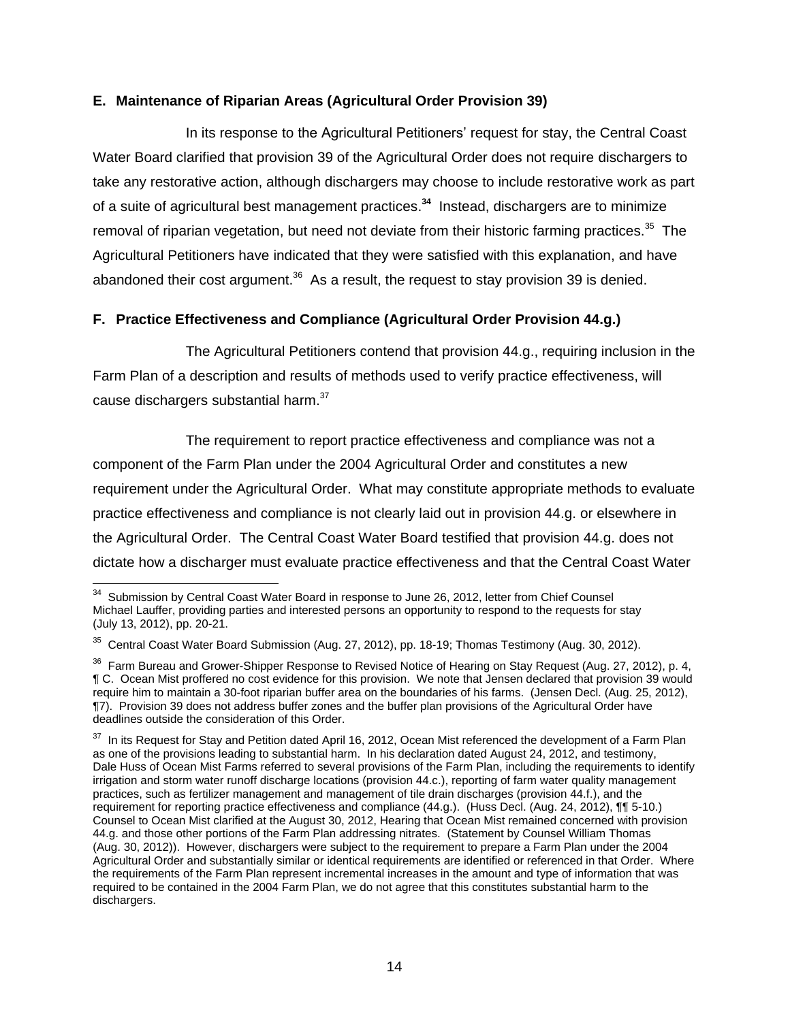## **E. Maintenance of Riparian Areas (Agricultural Order Provision 39)**

In its response to the Agricultural Petitioners' request for stay, the Central Coast Water Board clarified that provision 39 of the Agricultural Order does not require dischargers to take any restorative action, although dischargers may choose to include restorative work as part of a suite of agricultural best management practices. **34** Instead, dischargers are to minimize removal of riparian vegetation, but need not deviate from their historic farming practices.<sup>35</sup> The Agricultural Petitioners have indicated that they were satisfied with this explanation, and have abandoned their cost argument.<sup>36</sup> As a result, the request to stay provision 39 is denied.

# **F. Practice Effectiveness and Compliance (Agricultural Order Provision 44.g.)**

The Agricultural Petitioners contend that provision 44.g., requiring inclusion in the Farm Plan of a description and results of methods used to verify practice effectiveness, will cause dischargers substantial harm.<sup>37</sup>

The requirement to report practice effectiveness and compliance was not a component of the Farm Plan under the 2004 Agricultural Order and constitutes a new requirement under the Agricultural Order. What may constitute appropriate methods to evaluate practice effectiveness and compliance is not clearly laid out in provision 44.g. or elsewhere in the Agricultural Order. The Central Coast Water Board testified that provision 44.g. does not dictate how a discharger must evaluate practice effectiveness and that the Central Coast Water

 34 Submission by Central Coast Water Board in response to June 26, 2012, letter from Chief Counsel Michael Lauffer, providing parties and interested persons an opportunity to respond to the requests for stay (July 13, 2012), pp. 20-21.

 $35$  Central Coast Water Board Submission (Aug. 27, 2012), pp. 18-19; Thomas Testimony (Aug. 30, 2012).

 $36$  Farm Bureau and Grower-Shipper Response to Revised Notice of Hearing on Stay Request (Aug. 27, 2012), p. 4, ¶ C. Ocean Mist proffered no cost evidence for this provision. We note that Jensen declared that provision 39 would require him to maintain a 30-foot riparian buffer area on the boundaries of his farms. (Jensen Decl. (Aug. 25, 2012), ¶7). Provision 39 does not address buffer zones and the buffer plan provisions of the Agricultural Order have deadlines outside the consideration of this Order.

 $37$  In its Request for Stay and Petition dated April 16, 2012, Ocean Mist referenced the development of a Farm Plan as one of the provisions leading to substantial harm. In his declaration dated August 24, 2012, and testimony, Dale Huss of Ocean Mist Farms referred to several provisions of the Farm Plan, including the requirements to identify irrigation and storm water runoff discharge locations (provision 44.c.), reporting of farm water quality management practices, such as fertilizer management and management of tile drain discharges (provision 44.f.), and the requirement for reporting practice effectiveness and compliance (44.g.). (Huss Decl. (Aug. 24, 2012), ¶¶ 5-10.) Counsel to Ocean Mist clarified at the August 30, 2012, Hearing that Ocean Mist remained concerned with provision 44.g. and those other portions of the Farm Plan addressing nitrates. (Statement by Counsel William Thomas (Aug. 30, 2012)). However, dischargers were subject to the requirement to prepare a Farm Plan under the 2004 Agricultural Order and substantially similar or identical requirements are identified or referenced in that Order. Where the requirements of the Farm Plan represent incremental increases in the amount and type of information that was required to be contained in the 2004 Farm Plan, we do not agree that this constitutes substantial harm to the dischargers.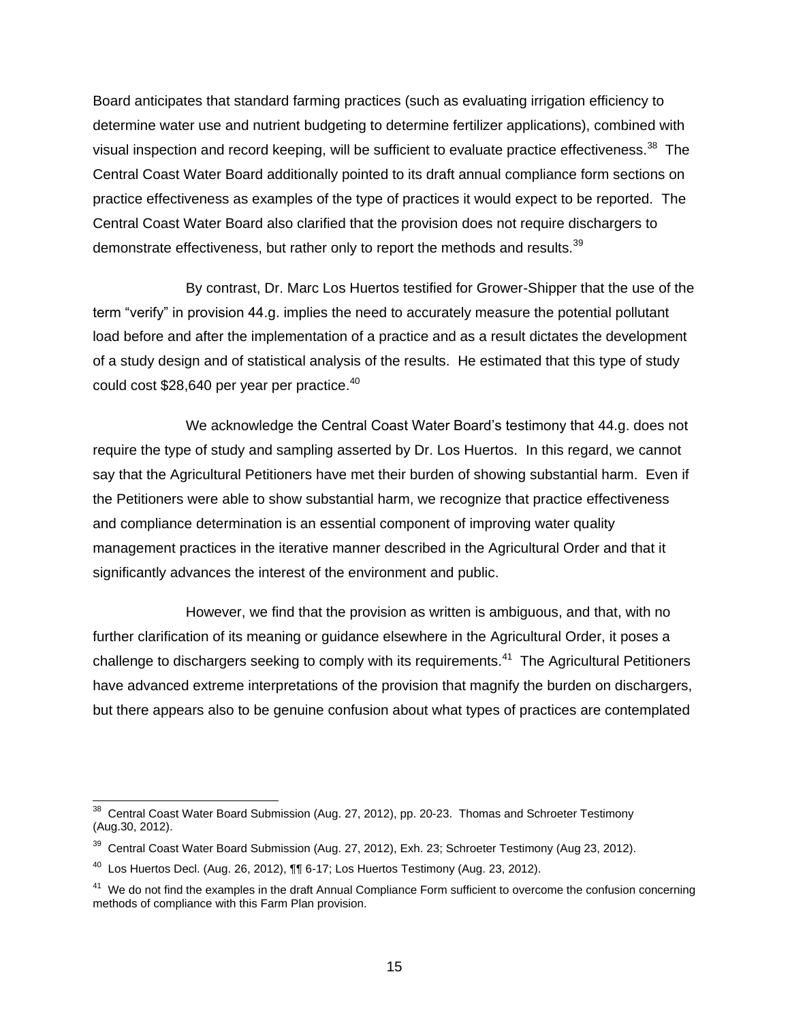Board anticipates that standard farming practices (such as evaluating irrigation efficiency to determine water use and nutrient budgeting to determine fertilizer applications), combined with visual inspection and record keeping, will be sufficient to evaluate practice effectiveness.<sup>38</sup> The Central Coast Water Board additionally pointed to its draft annual compliance form sections on practice effectiveness as examples of the type of practices it would expect to be reported. The Central Coast Water Board also clarified that the provision does not require dischargers to demonstrate effectiveness, but rather only to report the methods and results.<sup>39</sup>

By contrast, Dr. Marc Los Huertos testified for Grower-Shipper that the use of the term "verify" in provision 44.g. implies the need to accurately measure the potential pollutant load before and after the implementation of a practice and as a result dictates the development of a study design and of statistical analysis of the results. He estimated that this type of study could cost \$28,640 per year per practice.<sup>40</sup>

We acknowledge the Central Coast Water Board's testimony that 44.g. does not require the type of study and sampling asserted by Dr. Los Huertos. In this regard, we cannot say that the Agricultural Petitioners have met their burden of showing substantial harm. Even if the Petitioners were able to show substantial harm, we recognize that practice effectiveness and compliance determination is an essential component of improving water quality management practices in the iterative manner described in the Agricultural Order and that it significantly advances the interest of the environment and public.

However, we find that the provision as written is ambiguous, and that, with no further clarification of its meaning or guidance elsewhere in the Agricultural Order, it poses a challenge to dischargers seeking to comply with its requirements.<sup>41</sup> The Agricultural Petitioners have advanced extreme interpretations of the provision that magnify the burden on dischargers, but there appears also to be genuine confusion about what types of practices are contemplated

<sup>————————————————————&</sup>lt;br><sup>38</sup> Central Coast Water Board Submission (Aug. 27, 2012), pp. 20-23. Thomas and Schroeter Testimony (Aug.30, 2012).

<sup>&</sup>lt;sup>39</sup> Central Coast Water Board Submission (Aug. 27, 2012), Exh. 23; Schroeter Testimony (Aug 23, 2012).

 $^{40}$  Los Huertos Decl. (Aug. 26, 2012),  $\P\P$  6-17; Los Huertos Testimony (Aug. 23, 2012).

<sup>&</sup>lt;sup>41</sup> We do not find the examples in the draft Annual Compliance Form sufficient to overcome the confusion concerning methods of compliance with this Farm Plan provision.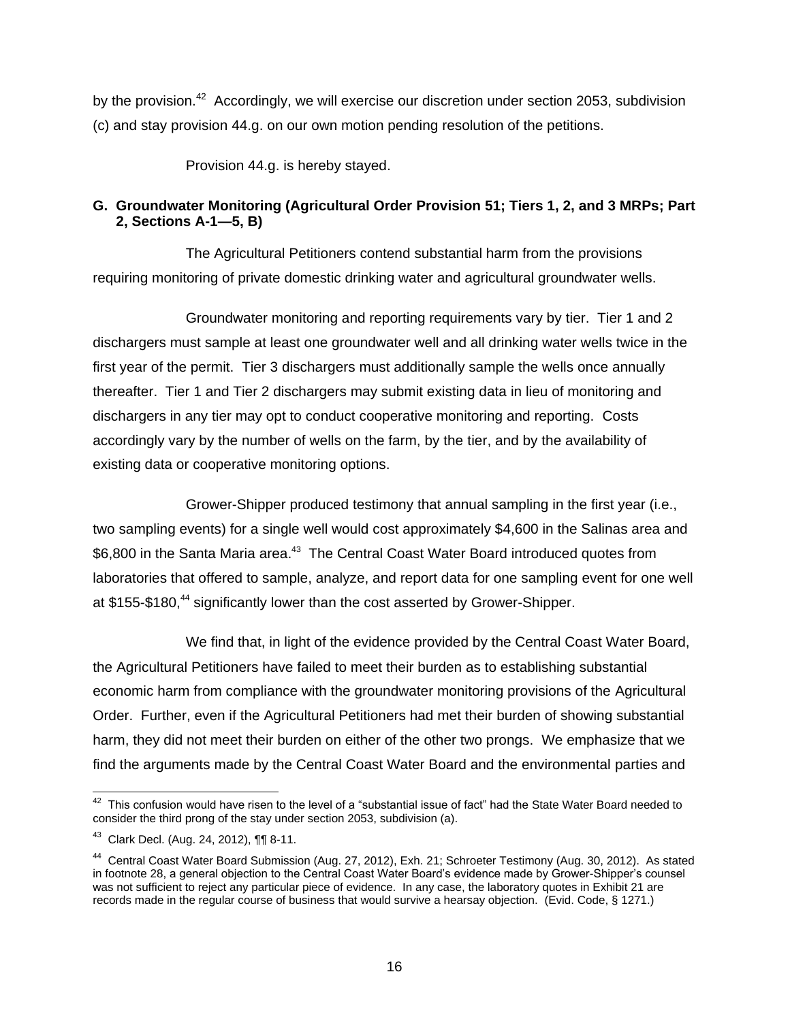by the provision.<sup>42</sup> Accordingly, we will exercise our discretion under section 2053, subdivision (c) and stay provision 44.g. on our own motion pending resolution of the petitions.

Provision 44.g. is hereby stayed.

# **G. Groundwater Monitoring (Agricultural Order Provision 51; Tiers 1, 2, and 3 MRPs; Part 2, Sections A-1—5, B)**

The Agricultural Petitioners contend substantial harm from the provisions requiring monitoring of private domestic drinking water and agricultural groundwater wells.

Groundwater monitoring and reporting requirements vary by tier. Tier 1 and 2 dischargers must sample at least one groundwater well and all drinking water wells twice in the first year of the permit. Tier 3 dischargers must additionally sample the wells once annually thereafter. Tier 1 and Tier 2 dischargers may submit existing data in lieu of monitoring and dischargers in any tier may opt to conduct cooperative monitoring and reporting. Costs accordingly vary by the number of wells on the farm, by the tier, and by the availability of existing data or cooperative monitoring options.

Grower-Shipper produced testimony that annual sampling in the first year (i.e., two sampling events) for a single well would cost approximately \$4,600 in the Salinas area and \$6,800 in the Santa Maria area.<sup>43</sup> The Central Coast Water Board introduced quotes from laboratories that offered to sample, analyze, and report data for one sampling event for one well at \$155-\$180,<sup>44</sup> significantly lower than the cost asserted by Grower-Shipper.

We find that, in light of the evidence provided by the Central Coast Water Board, the Agricultural Petitioners have failed to meet their burden as to establishing substantial economic harm from compliance with the groundwater monitoring provisions of the Agricultural Order. Further, even if the Agricultural Petitioners had met their burden of showing substantial harm, they did not meet their burden on either of the other two prongs. We emphasize that we find the arguments made by the Central Coast Water Board and the environmental parties and

This confusion would have risen to the level of a "substantial issue of fact" had the State Water Board needed to consider the third prong of the stay under section 2053, subdivision (a).

<sup>43</sup> Clark Decl. (Aug. 24, 2012), ¶¶ 8-11.

<sup>&</sup>lt;sup>44</sup> Central Coast Water Board Submission (Aug. 27, 2012), Exh. 21; Schroeter Testimony (Aug. 30, 2012). As stated in footnote 28, a general objection to the Central Coast Water Board's evidence made by Grower-Shipper's counsel was not sufficient to reject any particular piece of evidence. In any case, the laboratory quotes in Exhibit 21 are records made in the regular course of business that would survive a hearsay objection. (Evid. Code, § 1271.)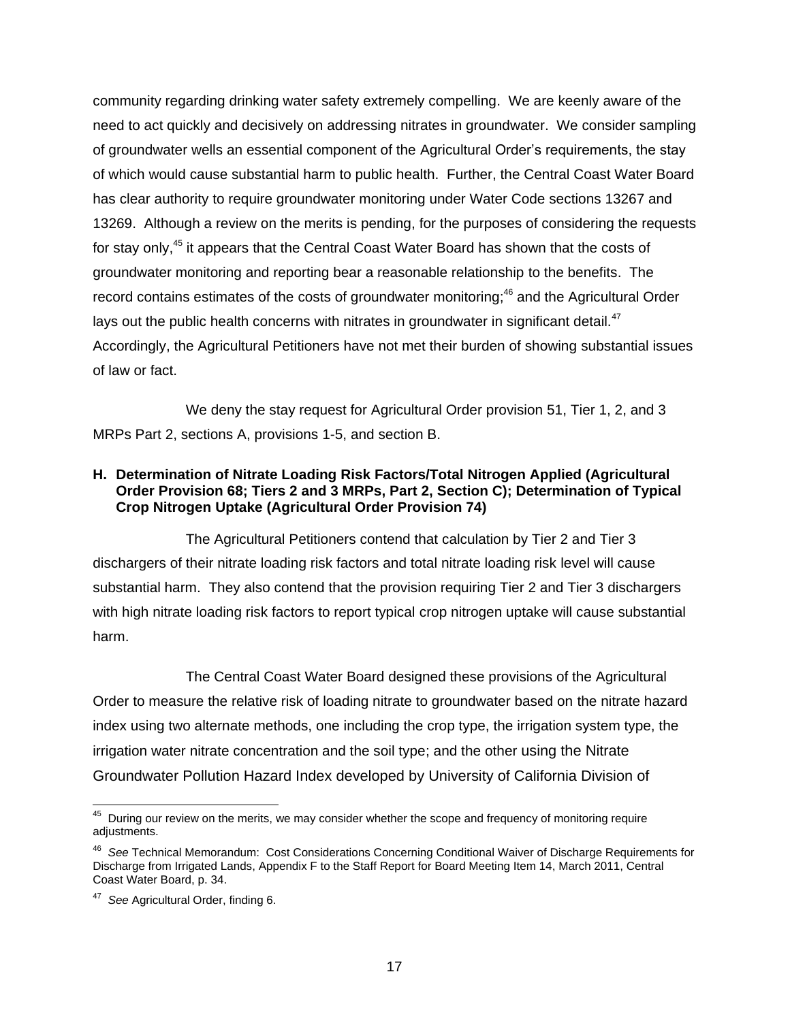community regarding drinking water safety extremely compelling. We are keenly aware of the need to act quickly and decisively on addressing nitrates in groundwater. We consider sampling of groundwater wells an essential component of the Agricultural Order's requirements, the stay of which would cause substantial harm to public health. Further, the Central Coast Water Board has clear authority to require groundwater monitoring under Water Code sections 13267 and 13269. Although a review on the merits is pending, for the purposes of considering the requests for stay only,<sup>45</sup> it appears that the Central Coast Water Board has shown that the costs of groundwater monitoring and reporting bear a reasonable relationship to the benefits. The record contains estimates of the costs of groundwater monitoring;<sup>46</sup> and the Agricultural Order lays out the public health concerns with nitrates in groundwater in significant detail. $47$ Accordingly, the Agricultural Petitioners have not met their burden of showing substantial issues of law or fact.

We deny the stay request for Agricultural Order provision 51, Tier 1, 2, and 3 MRPs Part 2, sections A, provisions 1-5, and section B.

## **H. Determination of Nitrate Loading Risk Factors/Total Nitrogen Applied (Agricultural Order Provision 68; Tiers 2 and 3 MRPs, Part 2, Section C); Determination of Typical Crop Nitrogen Uptake (Agricultural Order Provision 74)**

The Agricultural Petitioners contend that calculation by Tier 2 and Tier 3 dischargers of their nitrate loading risk factors and total nitrate loading risk level will cause substantial harm. They also contend that the provision requiring Tier 2 and Tier 3 dischargers with high nitrate loading risk factors to report typical crop nitrogen uptake will cause substantial harm.

The Central Coast Water Board designed these provisions of the Agricultural Order to measure the relative risk of loading nitrate to groundwater based on the nitrate hazard index using two alternate methods, one including the crop type, the irrigation system type, the irrigation water nitrate concentration and the soil type; and the other using the Nitrate Groundwater Pollution Hazard Index developed by University of California Division of

**AS During our review on the merits, we may consider whether the scope and frequency of monitoring require** adjustments.

<sup>46</sup> *See* Technical Memorandum: Cost Considerations Concerning Conditional Waiver of Discharge Requirements for Discharge from Irrigated Lands, Appendix F to the Staff Report for Board Meeting Item 14, March 2011, Central Coast Water Board, p. 34.

<sup>47</sup> *See* Agricultural Order, finding 6.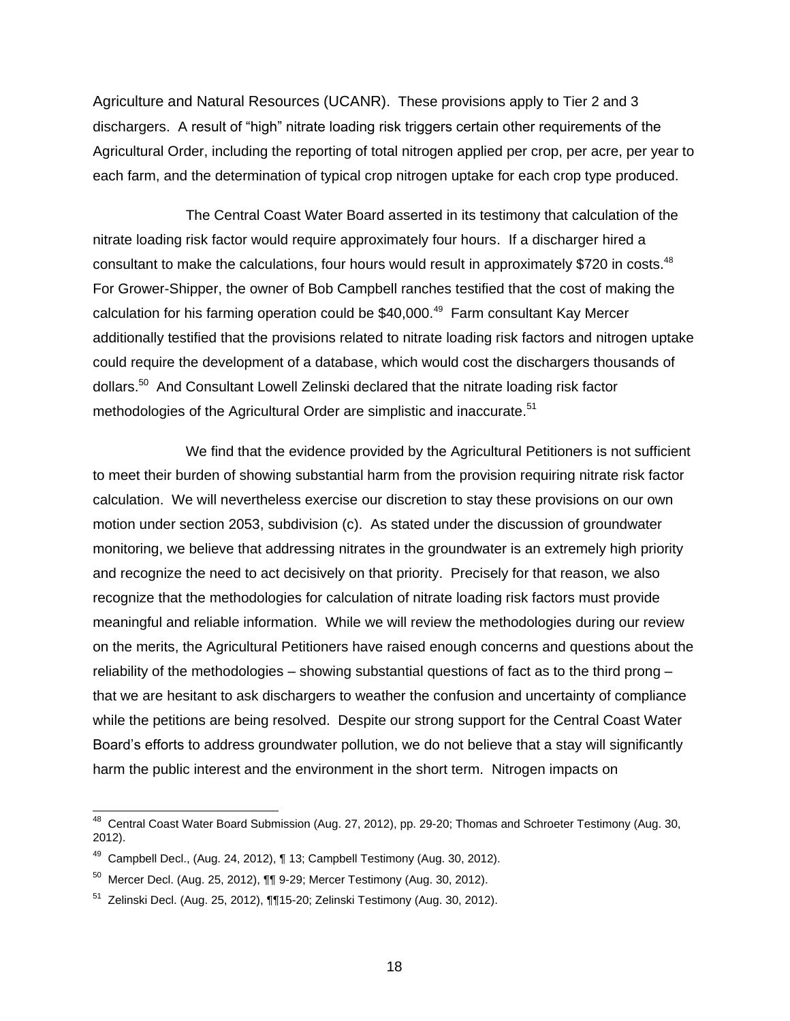Agriculture and Natural Resources (UCANR). These provisions apply to Tier 2 and 3 dischargers. A result of "high" nitrate loading risk triggers certain other requirements of the Agricultural Order, including the reporting of total nitrogen applied per crop, per acre, per year to each farm, and the determination of typical crop nitrogen uptake for each crop type produced.

The Central Coast Water Board asserted in its testimony that calculation of the nitrate loading risk factor would require approximately four hours. If a discharger hired a consultant to make the calculations, four hours would result in approximately \$720 in costs. $48$ For Grower-Shipper, the owner of Bob Campbell ranches testified that the cost of making the calculation for his farming operation could be \$40,000.<sup>49</sup> Farm consultant Kay Mercer additionally testified that the provisions related to nitrate loading risk factors and nitrogen uptake could require the development of a database, which would cost the dischargers thousands of dollars.<sup>50</sup> And Consultant Lowell Zelinski declared that the nitrate loading risk factor methodologies of the Agricultural Order are simplistic and inaccurate.<sup>51</sup>

We find that the evidence provided by the Agricultural Petitioners is not sufficient to meet their burden of showing substantial harm from the provision requiring nitrate risk factor calculation. We will nevertheless exercise our discretion to stay these provisions on our own motion under section 2053, subdivision (c). As stated under the discussion of groundwater monitoring, we believe that addressing nitrates in the groundwater is an extremely high priority and recognize the need to act decisively on that priority. Precisely for that reason, we also recognize that the methodologies for calculation of nitrate loading risk factors must provide meaningful and reliable information. While we will review the methodologies during our review on the merits, the Agricultural Petitioners have raised enough concerns and questions about the reliability of the methodologies – showing substantial questions of fact as to the third prong – that we are hesitant to ask dischargers to weather the confusion and uncertainty of compliance while the petitions are being resolved. Despite our strong support for the Central Coast Water Board's efforts to address groundwater pollution, we do not believe that a stay will significantly harm the public interest and the environment in the short term. Nitrogen impacts on

 48 Central Coast Water Board Submission (Aug. 27, 2012), pp. 29-20; Thomas and Schroeter Testimony (Aug. 30, 2012).

 $49$  Campbell Decl., (Aug. 24, 2012),  $\P$  13; Campbell Testimony (Aug. 30, 2012).

 $^{50}$  Mercer Decl. (Aug. 25, 2012),  $\P\P$ 9-29; Mercer Testimony (Aug. 30, 2012).

<sup>&</sup>lt;sup>51</sup> Zelinski Decl. (Aug. 25, 2012), ¶¶15-20; Zelinski Testimony (Aug. 30, 2012).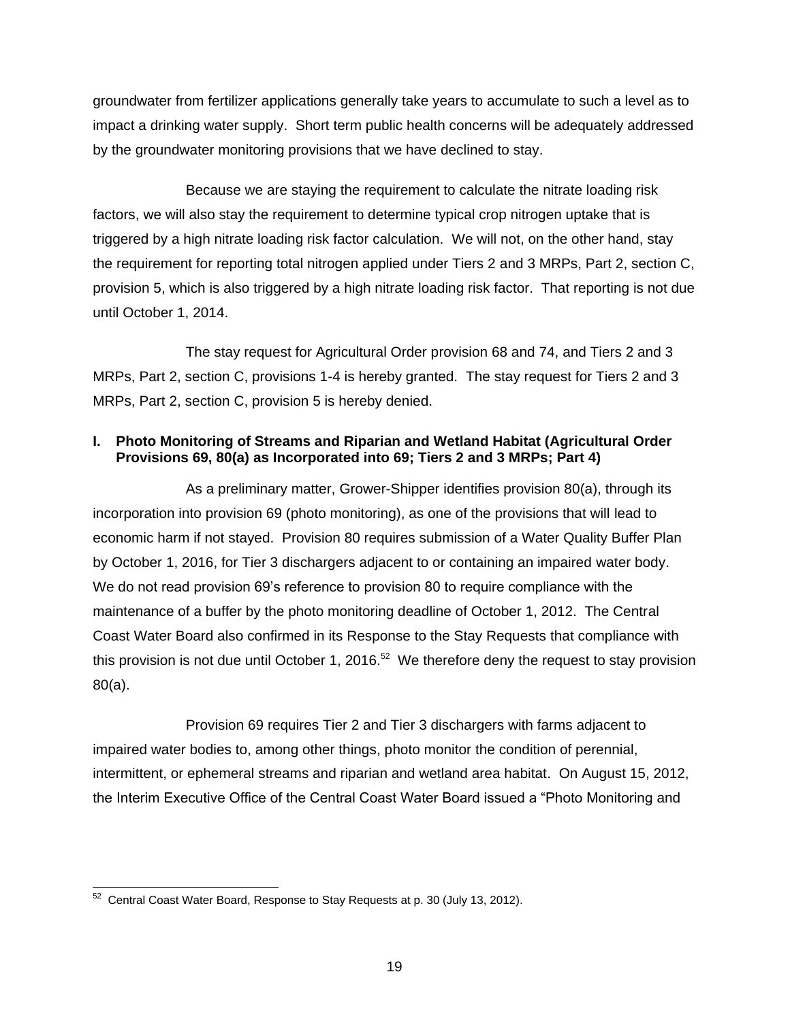groundwater from fertilizer applications generally take years to accumulate to such a level as to impact a drinking water supply. Short term public health concerns will be adequately addressed by the groundwater monitoring provisions that we have declined to stay.

Because we are staying the requirement to calculate the nitrate loading risk factors, we will also stay the requirement to determine typical crop nitrogen uptake that is triggered by a high nitrate loading risk factor calculation. We will not, on the other hand, stay the requirement for reporting total nitrogen applied under Tiers 2 and 3 MRPs, Part 2, section C, provision 5, which is also triggered by a high nitrate loading risk factor. That reporting is not due until October 1, 2014.

The stay request for Agricultural Order provision 68 and 74, and Tiers 2 and 3 MRPs, Part 2, section C, provisions 1-4 is hereby granted. The stay request for Tiers 2 and 3 MRPs, Part 2, section C, provision 5 is hereby denied.

## **I. Photo Monitoring of Streams and Riparian and Wetland Habitat (Agricultural Order Provisions 69, 80(a) as Incorporated into 69; Tiers 2 and 3 MRPs; Part 4)**

As a preliminary matter, Grower-Shipper identifies provision 80(a), through its incorporation into provision 69 (photo monitoring), as one of the provisions that will lead to economic harm if not stayed. Provision 80 requires submission of a Water Quality Buffer Plan by October 1, 2016, for Tier 3 dischargers adjacent to or containing an impaired water body. We do not read provision 69's reference to provision 80 to require compliance with the maintenance of a buffer by the photo monitoring deadline of October 1, 2012. The Central Coast Water Board also confirmed in its Response to the Stay Requests that compliance with this provision is not due until October 1, 2016.<sup>52</sup> We therefore deny the request to stay provision 80(a).

Provision 69 requires Tier 2 and Tier 3 dischargers with farms adjacent to impaired water bodies to, among other things, photo monitor the condition of perennial, intermittent, or ephemeral streams and riparian and wetland area habitat.On August 15, 2012, the Interim Executive Office of the Central Coast Water Board issued a "Photo Monitoring and

 52 Central Coast Water Board, Response to Stay Requests at p. 30 (July 13, 2012).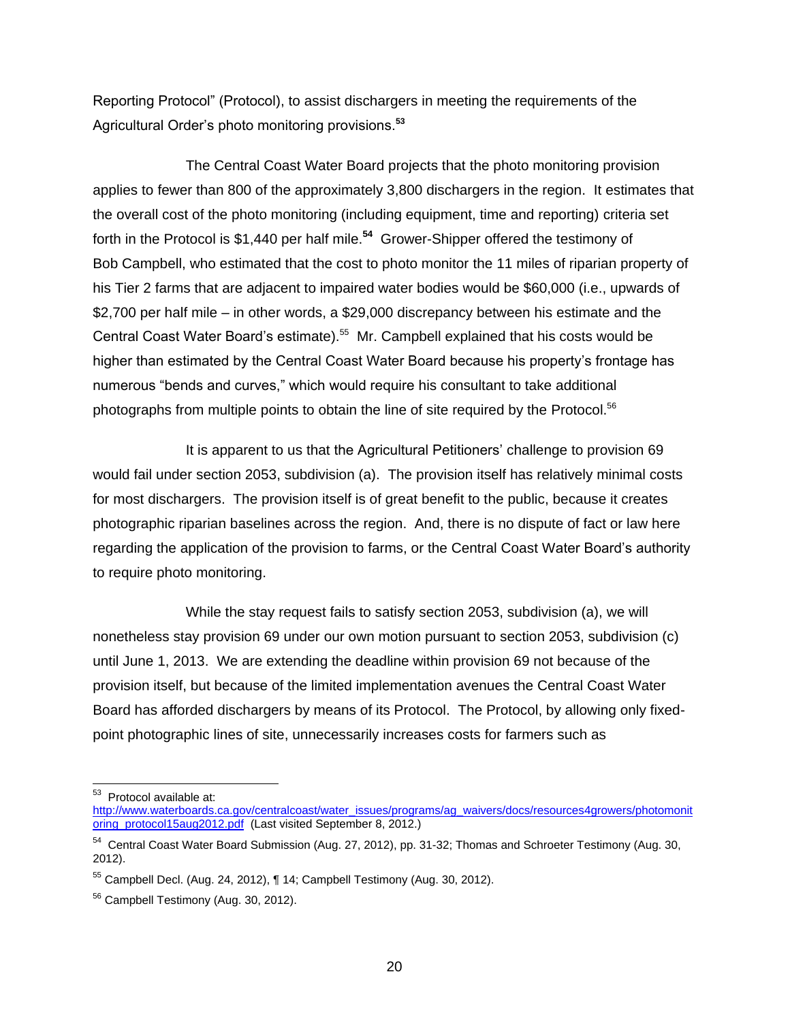Reporting Protocol" (Protocol), to assist dischargers in meeting the requirements of the Agricultural Order's photo monitoring provisions.**<sup>53</sup>**

The Central Coast Water Board projects that the photo monitoring provision applies to fewer than 800 of the approximately 3,800 dischargers in the region. It estimates that the overall cost of the photo monitoring (including equipment, time and reporting) criteria set forth in the Protocol is \$1,440 per half mile.**<sup>54</sup>** Grower-Shipper offered the testimony of Bob Campbell, who estimated that the cost to photo monitor the 11 miles of riparian property of his Tier 2 farms that are adjacent to impaired water bodies would be \$60,000 (i.e., upwards of \$2,700 per half mile – in other words, a \$29,000 discrepancy between his estimate and the Central Coast Water Board's estimate).<sup>55</sup> Mr. Campbell explained that his costs would be higher than estimated by the Central Coast Water Board because his property's frontage has numerous "bends and curves," which would require his consultant to take additional photographs from multiple points to obtain the line of site required by the Protocol.<sup>56</sup>

It is apparent to us that the Agricultural Petitioners' challenge to provision 69 would fail under section 2053, subdivision (a). The provision itself has relatively minimal costs for most dischargers. The provision itself is of great benefit to the public, because it creates photographic riparian baselines across the region. And, there is no dispute of fact or law here regarding the application of the provision to farms, or the Central Coast Water Board's authority to require photo monitoring.

While the stay request fails to satisfy section 2053, subdivision (a), we will nonetheless stay provision 69 under our own motion pursuant to section 2053, subdivision (c) until June 1, 2013. We are extending the deadline within provision 69 not because of the provision itself, but because of the limited implementation avenues the Central Coast Water Board has afforded dischargers by means of its Protocol. The Protocol, by allowing only fixedpoint photographic lines of site, unnecessarily increases costs for farmers such as

<sup>&</sup>lt;u>53</u><br>**Protocol available at:** 

[http://www.waterboards.ca.gov/centralcoast/water\\_issues/programs/ag\\_waivers/docs/resources4growers/photomonit](http://www.waterboards.ca.gov/centralcoast/water_issues/programs/ag_waivers/docs/resources4growers/photomonitoring_protocol15aug2012.pdf) [oring\\_protocol15aug2012.pdf](http://www.waterboards.ca.gov/centralcoast/water_issues/programs/ag_waivers/docs/resources4growers/photomonitoring_protocol15aug2012.pdf) (Last visited September 8, 2012.)

<sup>&</sup>lt;sup>54</sup> Central Coast Water Board Submission (Aug. 27, 2012), pp. 31-32; Thomas and Schroeter Testimony (Aug. 30, 2012).

<sup>55</sup> Campbell Decl. (Aug. 24, 2012), ¶ 14; Campbell Testimony (Aug. 30, 2012).

<sup>&</sup>lt;sup>56</sup> Campbell Testimony (Aug. 30, 2012).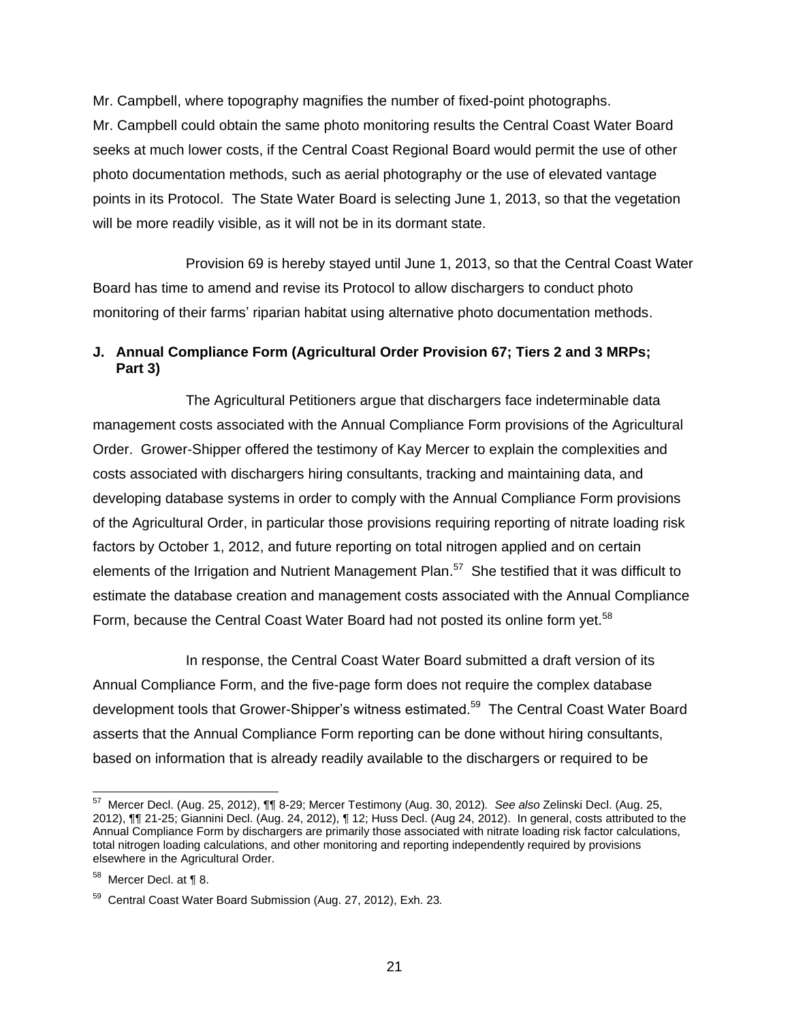Mr. Campbell, where topography magnifies the number of fixed-point photographs. Mr. Campbell could obtain the same photo monitoring results the Central Coast Water Board seeks at much lower costs, if the Central Coast Regional Board would permit the use of other photo documentation methods, such as aerial photography or the use of elevated vantage points in its Protocol. The State Water Board is selecting June 1, 2013, so that the vegetation will be more readily visible, as it will not be in its dormant state.

Provision 69 is hereby stayed until June 1, 2013, so that the Central Coast Water Board has time to amend and revise its Protocol to allow dischargers to conduct photo monitoring of their farms' riparian habitat using alternative photo documentation methods.

# **J. Annual Compliance Form (Agricultural Order Provision 67; Tiers 2 and 3 MRPs; Part 3)**

The Agricultural Petitioners argue that dischargers face indeterminable data management costs associated with the Annual Compliance Form provisions of the Agricultural Order. Grower-Shipper offered the testimony of Kay Mercer to explain the complexities and costs associated with dischargers hiring consultants, tracking and maintaining data, and developing database systems in order to comply with the Annual Compliance Form provisions of the Agricultural Order, in particular those provisions requiring reporting of nitrate loading risk factors by October 1, 2012, and future reporting on total nitrogen applied and on certain elements of the Irrigation and Nutrient Management Plan.<sup>57</sup> She testified that it was difficult to estimate the database creation and management costs associated with the Annual Compliance Form, because the Central Coast Water Board had not posted its online form yet.<sup>58</sup>

In response, the Central Coast Water Board submitted a draft version of its Annual Compliance Form, and the five-page form does not require the complex database development tools that Grower-Shipper's witness estimated.<sup>59</sup> The Central Coast Water Board asserts that the Annual Compliance Form reporting can be done without hiring consultants, based on information that is already readily available to the dischargers or required to be

 57 Mercer Decl. (Aug. 25, 2012), ¶¶ 8-29; Mercer Testimony (Aug. 30, 2012)*. See also* Zelinski Decl. (Aug. 25, 2012), ¶¶ 21-25; Giannini Decl. (Aug. 24, 2012), ¶ 12; Huss Decl. (Aug 24, 2012). In general, costs attributed to the Annual Compliance Form by dischargers are primarily those associated with nitrate loading risk factor calculations, total nitrogen loading calculations, and other monitoring and reporting independently required by provisions elsewhere in the Agricultural Order.

 $58$  Mercer Decl. at ¶ 8.

<sup>59</sup> Central Coast Water Board Submission (Aug. 27, 2012), Exh. 23*.*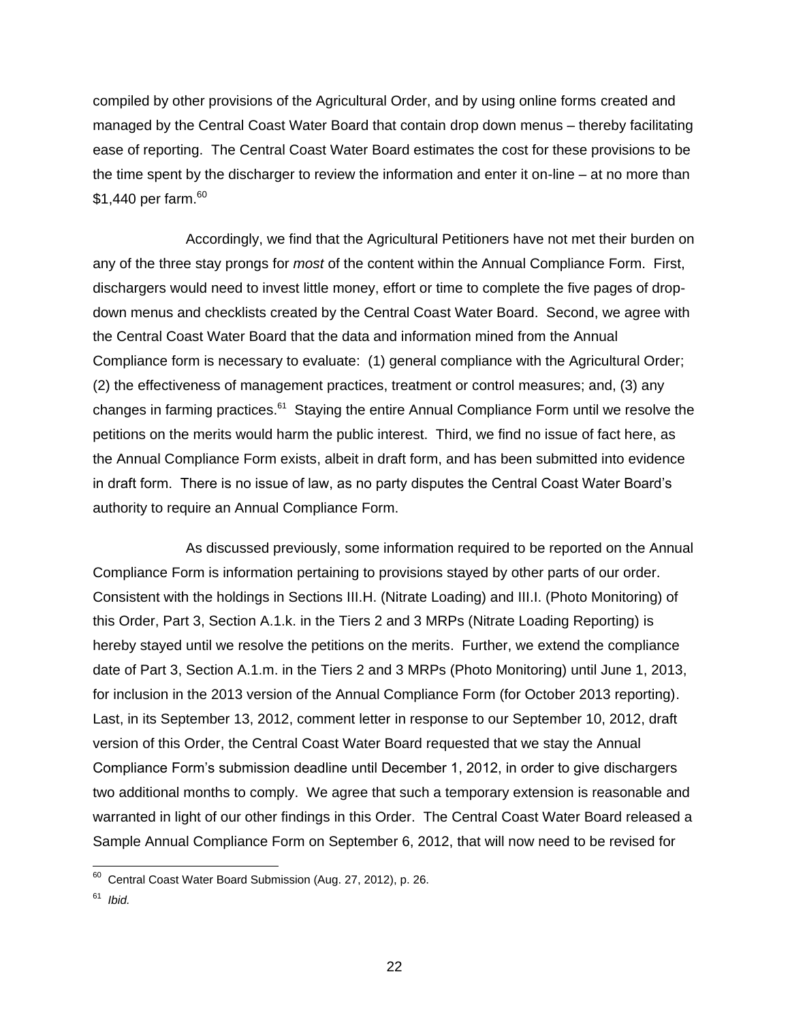compiled by other provisions of the Agricultural Order, and by using online forms created and managed by the Central Coast Water Board that contain drop down menus – thereby facilitating ease of reporting. The Central Coast Water Board estimates the cost for these provisions to be the time spent by the discharger to review the information and enter it on-line – at no more than \$1,440 per farm. 60

Accordingly, we find that the Agricultural Petitioners have not met their burden on any of the three stay prongs for *most* of the content within the Annual Compliance Form. First, dischargers would need to invest little money, effort or time to complete the five pages of dropdown menus and checklists created by the Central Coast Water Board. Second, we agree with the Central Coast Water Board that the data and information mined from the Annual Compliance form is necessary to evaluate: (1) general compliance with the Agricultural Order; (2) the effectiveness of management practices, treatment or control measures; and, (3) any changes in farming practices.<sup>61</sup> Staying the entire Annual Compliance Form until we resolve the petitions on the merits would harm the public interest. Third, we find no issue of fact here, as the Annual Compliance Form exists, albeit in draft form, and has been submitted into evidence in draft form. There is no issue of law, as no party disputes the Central Coast Water Board's authority to require an Annual Compliance Form.

As discussed previously, some information required to be reported on the Annual Compliance Form is information pertaining to provisions stayed by other parts of our order. Consistent with the holdings in Sections III.H. (Nitrate Loading) and III.I. (Photo Monitoring) of this Order, Part 3, Section A.1.k. in the Tiers 2 and 3 MRPs (Nitrate Loading Reporting) is hereby stayed until we resolve the petitions on the merits. Further, we extend the compliance date of Part 3, Section A.1.m. in the Tiers 2 and 3 MRPs (Photo Monitoring) until June 1, 2013, for inclusion in the 2013 version of the Annual Compliance Form (for October 2013 reporting). Last, in its September 13, 2012, comment letter in response to our September 10, 2012, draft version of this Order, the Central Coast Water Board requested that we stay the Annual Compliance Form's submission deadline until December 1, 2012, in order to give dischargers two additional months to comply. We agree that such a temporary extension is reasonable and warranted in light of our other findings in this Order. The Central Coast Water Board released a Sample Annual Compliance Form on September 6, 2012, that will now need to be revised for

 60 Central Coast Water Board Submission (Aug. 27, 2012), p. 26.

<sup>61</sup> *Ibid.*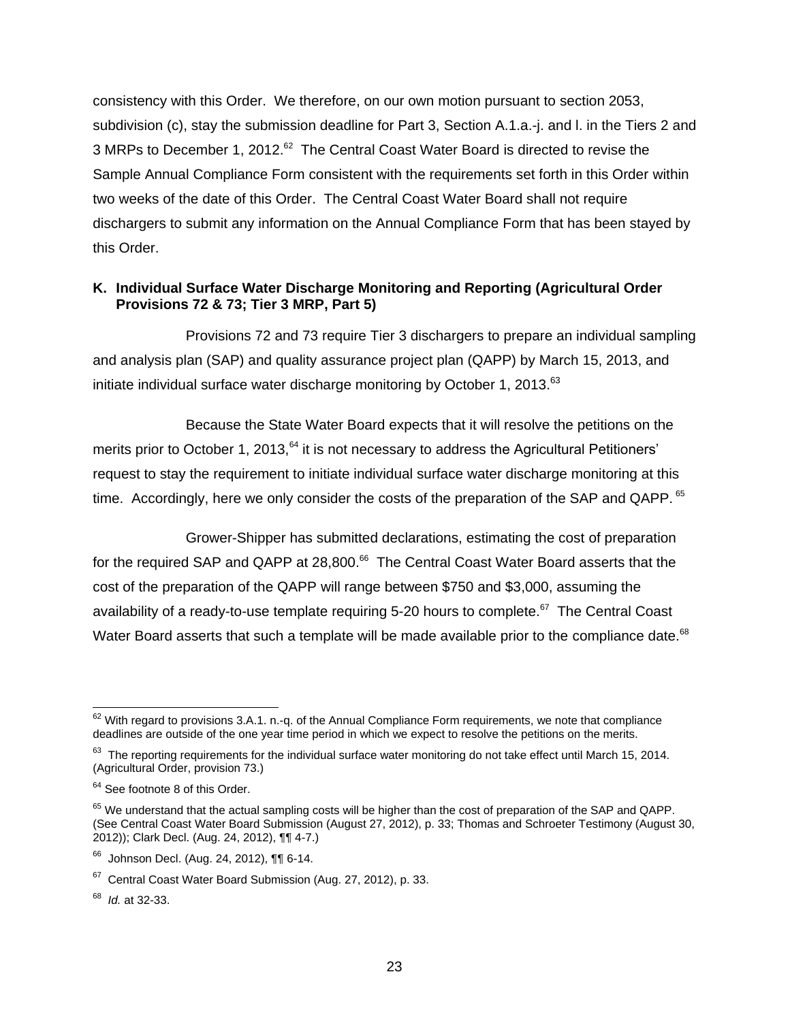consistency with this Order. We therefore, on our own motion pursuant to section 2053, subdivision (c), stay the submission deadline for Part 3, Section A.1.a.-j. and l. in the Tiers 2 and 3 MRPs to December 1, 2012.<sup>62</sup> The Central Coast Water Board is directed to revise the Sample Annual Compliance Form consistent with the requirements set forth in this Order within two weeks of the date of this Order. The Central Coast Water Board shall not require dischargers to submit any information on the Annual Compliance Form that has been stayed by this Order.

# **K. Individual Surface Water Discharge Monitoring and Reporting (Agricultural Order Provisions 72 & 73; Tier 3 MRP, Part 5)**

Provisions 72 and 73 require Tier 3 dischargers to prepare an individual sampling and analysis plan (SAP) and quality assurance project plan (QAPP) by March 15, 2013, and initiate individual surface water discharge monitoring by October 1, 2013.<sup>63</sup>

Because the State Water Board expects that it will resolve the petitions on the merits prior to October 1, 2013,<sup>64</sup> it is not necessary to address the Agricultural Petitioners' request to stay the requirement to initiate individual surface water discharge monitoring at this time. Accordingly, here we only consider the costs of the preparation of the SAP and QAPP. <sup>65</sup>

Grower-Shipper has submitted declarations, estimating the cost of preparation for the required SAP and QAPP at 28,800.<sup>66</sup> The Central Coast Water Board asserts that the cost of the preparation of the QAPP will range between \$750 and \$3,000, assuming the availability of a ready-to-use template requiring 5-20 hours to complete. $^{67}$  The Central Coast Water Board asserts that such a template will be made available prior to the compliance date. $^{68}$ 

68 *Id.* at 32-33.

  $62$  With regard to provisions 3.A.1. n.-q. of the Annual Compliance Form requirements, we note that compliance deadlines are outside of the one year time period in which we expect to resolve the petitions on the merits.

 $63$  The reporting requirements for the individual surface water monitoring do not take effect until March 15, 2014. (Agricultural Order, provision 73.)

<sup>&</sup>lt;sup>64</sup> See footnote 8 of this Order.

<sup>&</sup>lt;sup>65</sup> We understand that the actual sampling costs will be higher than the cost of preparation of the SAP and QAPP. (See Central Coast Water Board Submission (August 27, 2012), p. 33; Thomas and Schroeter Testimony (August 30, 2012)); Clark Decl. (Aug. 24, 2012), ¶¶ 4-7.)

<sup>66</sup> Johnson Decl. (Aug. 24, 2012), ¶¶ 6-14.

<sup>&</sup>lt;sup>67</sup> Central Coast Water Board Submission (Aug. 27, 2012), p. 33.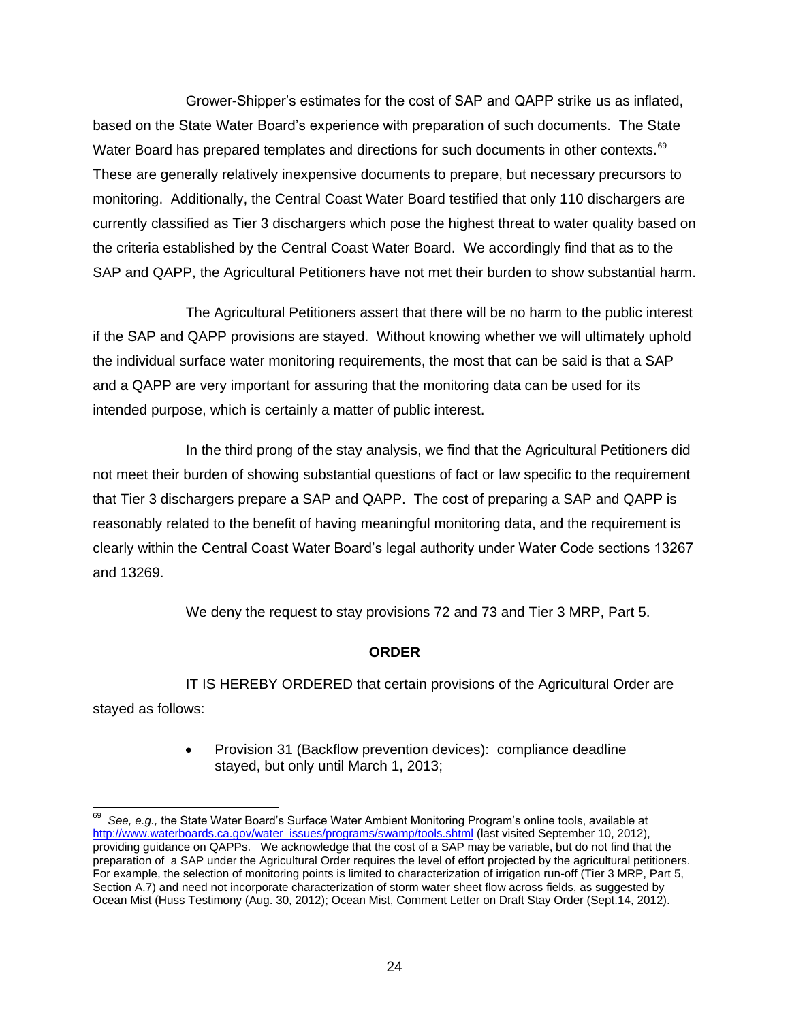Grower-Shipper's estimates for the cost of SAP and QAPP strike us as inflated, based on the State Water Board's experience with preparation of such documents. The State Water Board has prepared templates and directions for such documents in other contexts.<sup>69</sup> These are generally relatively inexpensive documents to prepare, but necessary precursors to monitoring. Additionally, the Central Coast Water Board testified that only 110 dischargers are currently classified as Tier 3 dischargers which pose the highest threat to water quality based on the criteria established by the Central Coast Water Board. We accordingly find that as to the SAP and QAPP, the Agricultural Petitioners have not met their burden to show substantial harm.

The Agricultural Petitioners assert that there will be no harm to the public interest if the SAP and QAPP provisions are stayed. Without knowing whether we will ultimately uphold the individual surface water monitoring requirements, the most that can be said is that a SAP and a QAPP are very important for assuring that the monitoring data can be used for its intended purpose, which is certainly a matter of public interest.

In the third prong of the stay analysis, we find that the Agricultural Petitioners did not meet their burden of showing substantial questions of fact or law specific to the requirement that Tier 3 dischargers prepare a SAP and QAPP. The cost of preparing a SAP and QAPP is reasonably related to the benefit of having meaningful monitoring data, and the requirement is clearly within the Central Coast Water Board's legal authority under Water Code sections 13267 and 13269.

We deny the request to stay provisions 72 and 73 and Tier 3 MRP, Part 5.

# **ORDER**

IT IS HEREBY ORDERED that certain provisions of the Agricultural Order are stayed as follows:

> Provision 31 (Backflow prevention devices): compliance deadline stayed, but only until March 1, 2013;

 $\overline{a}$ <sup>69</sup> See, e.g., the State Water Board's Surface Water Ambient Monitoring Program's online tools, available at [http://www.waterboards.ca.gov/water\\_issues/programs/swamp/tools.shtml](http://www.waterboards.ca.gov/water_issues/programs/swamp/tools.shtml) (last visited September 10, 2012), providing guidance on QAPPs. We acknowledge that the cost of a SAP may be variable, but do not find that the preparation of a SAP under the Agricultural Order requires the level of effort projected by the agricultural petitioners. For example, the selection of monitoring points is limited to characterization of irrigation run-off (Tier 3 MRP, Part 5, Section A.7) and need not incorporate characterization of storm water sheet flow across fields, as suggested by Ocean Mist (Huss Testimony (Aug. 30, 2012); Ocean Mist, Comment Letter on Draft Stay Order (Sept.14, 2012).